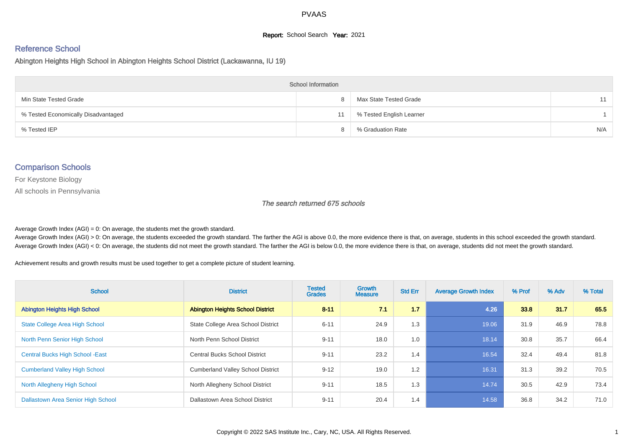#### **Report:** School Search **Year:** 2021

# Reference School

Abington Heights High School in Abington Heights School District (Lackawanna, IU 19)

| <b>School Information</b>           |   |                          |     |  |  |  |  |  |
|-------------------------------------|---|--------------------------|-----|--|--|--|--|--|
| Min State Tested Grade              | 8 | Max State Tested Grade   | 11  |  |  |  |  |  |
| % Tested Economically Disadvantaged |   | % Tested English Learner |     |  |  |  |  |  |
| % Tested IEP                        |   | % Graduation Rate        | N/A |  |  |  |  |  |

#### Comparison Schools

For Keystone Biology

All schools in Pennsylvania

#### The search returned 675 schools

Average Growth Index  $(AGI) = 0$ : On average, the students met the growth standard.

Average Growth Index (AGI) > 0: On average, the students exceeded the growth standard. The farther the AGI is above 0.0, the more evidence there is that, on average, students in this school exceeded the growth standard. Average Growth Index (AGI) < 0: On average, the students did not meet the growth standard. The farther the AGI is below 0.0, the more evidence there is that, on average, students did not meet the growth standard.

Achievement results and growth results must be used together to get a complete picture of student learning.

| <b>School</b>                           | <b>District</b>                          | <b>Tested</b><br><b>Grades</b> | <b>Growth</b><br><b>Measure</b> | <b>Std Err</b> | <b>Average Growth Index</b> | % Prof | % Adv | % Total |
|-----------------------------------------|------------------------------------------|--------------------------------|---------------------------------|----------------|-----------------------------|--------|-------|---------|
| <b>Abington Heights High School</b>     | <b>Abington Heights School District</b>  | $8 - 11$                       | 7.1                             | 1.7            | 4.26                        | 33.8   | 31.7  | 65.5    |
| <b>State College Area High School</b>   | State College Area School District       | $6 - 11$                       | 24.9                            | 1.3            | 19.06                       | 31.9   | 46.9  | 78.8    |
| North Penn Senior High School           | North Penn School District               | $9 - 11$                       | 18.0                            | 1.0            | 18.14                       | 30.8   | 35.7  | 66.4    |
| <b>Central Bucks High School - East</b> | <b>Central Bucks School District</b>     | $9 - 11$                       | 23.2                            | 1.4            | 16.54                       | 32.4   | 49.4  | 81.8    |
| <b>Cumberland Valley High School</b>    | <b>Cumberland Valley School District</b> | $9 - 12$                       | 19.0                            | 1.2            | 16.31                       | 31.3   | 39.2  | 70.5    |
| North Allegheny High School             | North Allegheny School District          | $9 - 11$                       | 18.5                            | 1.3            | 14.74                       | 30.5   | 42.9  | 73.4    |
| Dallastown Area Senior High School      | Dallastown Area School District          | $9 - 11$                       | 20.4                            | 1.4            | 14.58                       | 36.8   | 34.2  | 71.0    |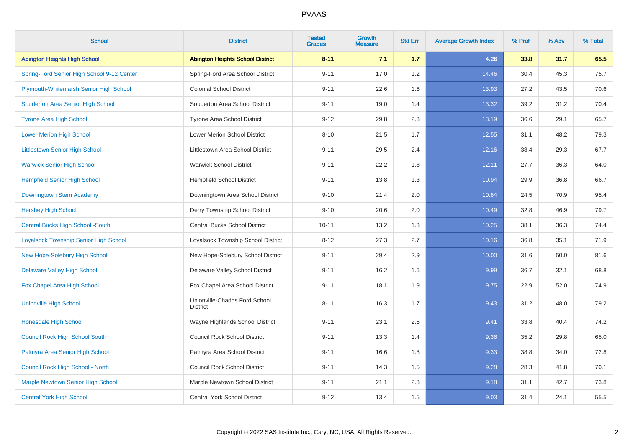| <b>School</b>                              | <b>District</b>                                  | <b>Tested</b><br><b>Grades</b> | <b>Growth</b><br><b>Measure</b> | <b>Std Err</b> | <b>Average Growth Index</b> | % Prof | % Adv | % Total |
|--------------------------------------------|--------------------------------------------------|--------------------------------|---------------------------------|----------------|-----------------------------|--------|-------|---------|
| <b>Abington Heights High School</b>        | <b>Abington Heights School District</b>          | $8 - 11$                       | 7.1                             | 1.7            | 4.26                        | 33.8   | 31.7  | 65.5    |
| Spring-Ford Senior High School 9-12 Center | Spring-Ford Area School District                 | $9 - 11$                       | 17.0                            | 1.2            | 14.46                       | 30.4   | 45.3  | 75.7    |
| Plymouth-Whitemarsh Senior High School     | <b>Colonial School District</b>                  | $9 - 11$                       | 22.6                            | 1.6            | 13.93                       | 27.2   | 43.5  | 70.6    |
| Souderton Area Senior High School          | Souderton Area School District                   | $9 - 11$                       | 19.0                            | 1.4            | 13.32                       | 39.2   | 31.2  | 70.4    |
| <b>Tyrone Area High School</b>             | Tyrone Area School District                      | $9 - 12$                       | 29.8                            | 2.3            | 13.19                       | 36.6   | 29.1  | 65.7    |
| <b>Lower Merion High School</b>            | <b>Lower Merion School District</b>              | $8 - 10$                       | 21.5                            | 1.7            | 12.55                       | 31.1   | 48.2  | 79.3    |
| <b>Littlestown Senior High School</b>      | Littlestown Area School District                 | $9 - 11$                       | 29.5                            | 2.4            | 12.16                       | 38.4   | 29.3  | 67.7    |
| <b>Warwick Senior High School</b>          | <b>Warwick School District</b>                   | $9 - 11$                       | 22.2                            | 1.8            | 12.11                       | 27.7   | 36.3  | 64.0    |
| <b>Hempfield Senior High School</b>        | <b>Hempfield School District</b>                 | $9 - 11$                       | 13.8                            | 1.3            | 10.94                       | 29.9   | 36.8  | 66.7    |
| Downingtown Stem Academy                   | Downingtown Area School District                 | $9 - 10$                       | 21.4                            | 2.0            | 10.84                       | 24.5   | 70.9  | 95.4    |
| <b>Hershey High School</b>                 | Derry Township School District                   | $9 - 10$                       | 20.6                            | 2.0            | 10.49                       | 32.8   | 46.9  | 79.7    |
| <b>Central Bucks High School -South</b>    | <b>Central Bucks School District</b>             | $10 - 11$                      | 13.2                            | 1.3            | 10.25                       | 38.1   | 36.3  | 74.4    |
| Loyalsock Township Senior High School      | Loyalsock Township School District               | $8 - 12$                       | 27.3                            | 2.7            | 10.16                       | 36.8   | 35.1  | 71.9    |
| <b>New Hope-Solebury High School</b>       | New Hope-Solebury School District                | $9 - 11$                       | 29.4                            | 2.9            | 10.00                       | 31.6   | 50.0  | 81.6    |
| <b>Delaware Valley High School</b>         | Delaware Valley School District                  | $9 - 11$                       | 16.2                            | 1.6            | 9.99                        | 36.7   | 32.1  | 68.8    |
| Fox Chapel Area High School                | Fox Chapel Area School District                  | $9 - 11$                       | 18.1                            | 1.9            | 9.75                        | 22.9   | 52.0  | 74.9    |
| <b>Unionville High School</b>              | Unionville-Chadds Ford School<br><b>District</b> | $8 - 11$                       | 16.3                            | 1.7            | 9.43                        | 31.2   | 48.0  | 79.2    |
| <b>Honesdale High School</b>               | Wayne Highlands School District                  | $9 - 11$                       | 23.1                            | 2.5            | 9.41                        | 33.8   | 40.4  | 74.2    |
| <b>Council Rock High School South</b>      | <b>Council Rock School District</b>              | $9 - 11$                       | 13.3                            | 1.4            | 9.36                        | 35.2   | 29.8  | 65.0    |
| Palmyra Area Senior High School            | Palmyra Area School District                     | $9 - 11$                       | 16.6                            | 1.8            | 9.33                        | 38.8   | 34.0  | 72.8    |
| Council Rock High School - North           | <b>Council Rock School District</b>              | $9 - 11$                       | 14.3                            | 1.5            | 9.28                        | 28.3   | 41.8  | 70.1    |
| <b>Marple Newtown Senior High School</b>   | Marple Newtown School District                   | $9 - 11$                       | 21.1                            | 2.3            | 9.18                        | 31.1   | 42.7  | 73.8    |
| <b>Central York High School</b>            | <b>Central York School District</b>              | $9 - 12$                       | 13.4                            | 1.5            | 9.03                        | 31.4   | 24.1  | 55.5    |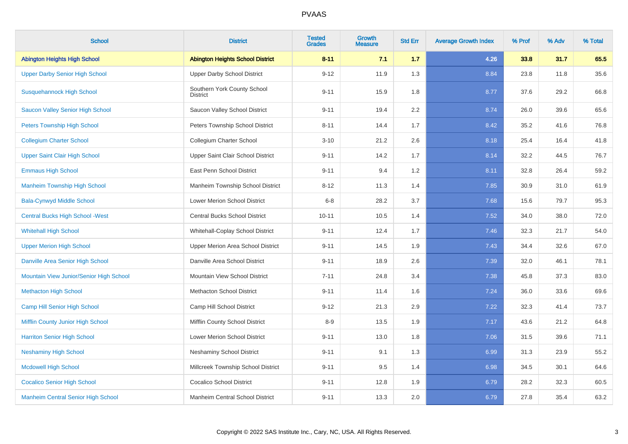| <b>School</b>                             | <b>District</b>                         | <b>Tested</b><br><b>Grades</b> | Growth<br><b>Measure</b> | <b>Std Err</b> | <b>Average Growth Index</b> | % Prof | % Adv | % Total |
|-------------------------------------------|-----------------------------------------|--------------------------------|--------------------------|----------------|-----------------------------|--------|-------|---------|
| <b>Abington Heights High School</b>       | <b>Abington Heights School District</b> | $8 - 11$                       | 7.1                      | 1.7            | 4.26                        | 33.8   | 31.7  | 65.5    |
| <b>Upper Darby Senior High School</b>     | <b>Upper Darby School District</b>      | $9 - 12$                       | 11.9                     | 1.3            | 8.84                        | 23.8   | 11.8  | 35.6    |
| <b>Susquehannock High School</b>          | Southern York County School<br>District | $9 - 11$                       | 15.9                     | 1.8            | 8.77                        | 37.6   | 29.2  | 66.8    |
| <b>Saucon Valley Senior High School</b>   | Saucon Valley School District           | $9 - 11$                       | 19.4                     | 2.2            | 8.74                        | 26.0   | 39.6  | 65.6    |
| <b>Peters Township High School</b>        | Peters Township School District         | $8 - 11$                       | 14.4                     | 1.7            | 8.42                        | 35.2   | 41.6  | 76.8    |
| <b>Collegium Charter School</b>           | Collegium Charter School                | $3 - 10$                       | 21.2                     | 2.6            | 8.18                        | 25.4   | 16.4  | 41.8    |
| <b>Upper Saint Clair High School</b>      | Upper Saint Clair School District       | $9 - 11$                       | 14.2                     | 1.7            | 8.14                        | 32.2   | 44.5  | 76.7    |
| <b>Emmaus High School</b>                 | East Penn School District               | $9 - 11$                       | 9.4                      | 1.2            | 8.11                        | 32.8   | 26.4  | 59.2    |
| <b>Manheim Township High School</b>       | Manheim Township School District        | $8 - 12$                       | 11.3                     | 1.4            | 7.85                        | 30.9   | 31.0  | 61.9    |
| <b>Bala-Cynwyd Middle School</b>          | Lower Merion School District            | $6 - 8$                        | 28.2                     | 3.7            | 7.68                        | 15.6   | 79.7  | 95.3    |
| <b>Central Bucks High School - West</b>   | <b>Central Bucks School District</b>    | $10 - 11$                      | 10.5                     | 1.4            | 7.52                        | 34.0   | 38.0  | 72.0    |
| <b>Whitehall High School</b>              | Whitehall-Coplay School District        | $9 - 11$                       | 12.4                     | 1.7            | 7.46                        | 32.3   | 21.7  | 54.0    |
| <b>Upper Merion High School</b>           | Upper Merion Area School District       | $9 - 11$                       | 14.5                     | 1.9            | 7.43                        | 34.4   | 32.6  | 67.0    |
| Danville Area Senior High School          | Danville Area School District           | $9 - 11$                       | 18.9                     | 2.6            | 7.39                        | 32.0   | 46.1  | 78.1    |
| Mountain View Junior/Senior High School   | Mountain View School District           | $7 - 11$                       | 24.8                     | 3.4            | 7.38                        | 45.8   | 37.3  | 83.0    |
| <b>Methacton High School</b>              | <b>Methacton School District</b>        | $9 - 11$                       | 11.4                     | 1.6            | 7.24                        | 36.0   | 33.6  | 69.6    |
| Camp Hill Senior High School              | Camp Hill School District               | $9 - 12$                       | 21.3                     | 2.9            | 7.22                        | 32.3   | 41.4  | 73.7    |
| Mifflin County Junior High School         | Mifflin County School District          | $8-9$                          | 13.5                     | 1.9            | 7.17                        | 43.6   | 21.2  | 64.8    |
| <b>Harriton Senior High School</b>        | <b>Lower Merion School District</b>     | $9 - 11$                       | 13.0                     | 1.8            | 7.06                        | 31.5   | 39.6  | 71.1    |
| <b>Neshaminy High School</b>              | Neshaminy School District               | $9 - 11$                       | 9.1                      | 1.3            | 6.99                        | 31.3   | 23.9  | 55.2    |
| <b>Mcdowell High School</b>               | Millcreek Township School District      | $9 - 11$                       | 9.5                      | 1.4            | 6.98                        | 34.5   | 30.1  | 64.6    |
| <b>Cocalico Senior High School</b>        | <b>Cocalico School District</b>         | $9 - 11$                       | 12.8                     | 1.9            | 6.79                        | 28.2   | 32.3  | 60.5    |
| <b>Manheim Central Senior High School</b> | Manheim Central School District         | $9 - 11$                       | 13.3                     | 2.0            | 6.79                        | 27.8   | 35.4  | 63.2    |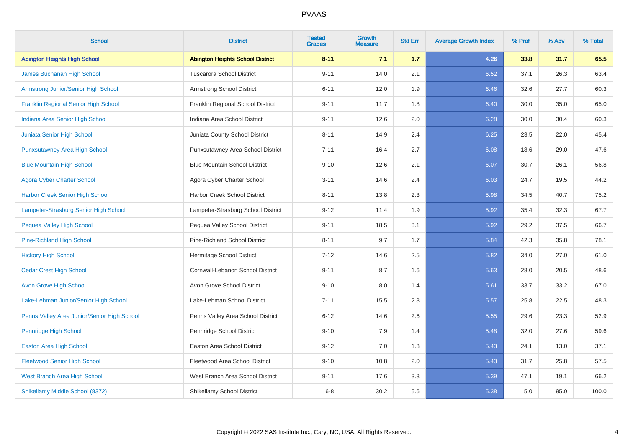| <b>School</b>                               | <b>District</b>                         | <b>Tested</b><br><b>Grades</b> | <b>Growth</b><br><b>Measure</b> | <b>Std Err</b> | <b>Average Growth Index</b> | % Prof | % Adv | % Total |
|---------------------------------------------|-----------------------------------------|--------------------------------|---------------------------------|----------------|-----------------------------|--------|-------|---------|
| <b>Abington Heights High School</b>         | <b>Abington Heights School District</b> | $8 - 11$                       | 7.1                             | 1.7            | 4.26                        | 33.8   | 31.7  | 65.5    |
| James Buchanan High School                  | <b>Tuscarora School District</b>        | $9 - 11$                       | 14.0                            | 2.1            | 6.52                        | 37.1   | 26.3  | 63.4    |
| Armstrong Junior/Senior High School         | Armstrong School District               | $6 - 11$                       | 12.0                            | 1.9            | 6.46                        | 32.6   | 27.7  | 60.3    |
| <b>Franklin Regional Senior High School</b> | Franklin Regional School District       | $9 - 11$                       | 11.7                            | 1.8            | 6.40                        | 30.0   | 35.0  | 65.0    |
| Indiana Area Senior High School             | Indiana Area School District            | $9 - 11$                       | 12.6                            | 2.0            | 6.28                        | 30.0   | 30.4  | 60.3    |
| Juniata Senior High School                  | Juniata County School District          | $8 - 11$                       | 14.9                            | 2.4            | 6.25                        | 23.5   | 22.0  | 45.4    |
| <b>Punxsutawney Area High School</b>        | Punxsutawney Area School District       | $7 - 11$                       | 16.4                            | 2.7            | 6.08                        | 18.6   | 29.0  | 47.6    |
| <b>Blue Mountain High School</b>            | <b>Blue Mountain School District</b>    | $9 - 10$                       | 12.6                            | 2.1            | 6.07                        | 30.7   | 26.1  | 56.8    |
| <b>Agora Cyber Charter School</b>           | Agora Cyber Charter School              | $3 - 11$                       | 14.6                            | 2.4            | 6.03                        | 24.7   | 19.5  | 44.2    |
| <b>Harbor Creek Senior High School</b>      | Harbor Creek School District            | $8 - 11$                       | 13.8                            | 2.3            | 5.98                        | 34.5   | 40.7  | 75.2    |
| Lampeter-Strasburg Senior High School       | Lampeter-Strasburg School District      | $9 - 12$                       | 11.4                            | 1.9            | 5.92                        | 35.4   | 32.3  | 67.7    |
| Pequea Valley High School                   | Pequea Valley School District           | $9 - 11$                       | 18.5                            | 3.1            | 5.92                        | 29.2   | 37.5  | 66.7    |
| Pine-Richland High School                   | <b>Pine-Richland School District</b>    | $8 - 11$                       | 9.7                             | 1.7            | 5.84                        | 42.3   | 35.8  | 78.1    |
| <b>Hickory High School</b>                  | Hermitage School District               | $7 - 12$                       | 14.6                            | 2.5            | 5.82                        | 34.0   | 27.0  | 61.0    |
| <b>Cedar Crest High School</b>              | Cornwall-Lebanon School District        | $9 - 11$                       | 8.7                             | 1.6            | 5.63                        | 28.0   | 20.5  | 48.6    |
| <b>Avon Grove High School</b>               | Avon Grove School District              | $9 - 10$                       | 8.0                             | 1.4            | 5.61                        | 33.7   | 33.2  | 67.0    |
| Lake-Lehman Junior/Senior High School       | Lake-Lehman School District             | $7 - 11$                       | 15.5                            | 2.8            | 5.57                        | 25.8   | 22.5  | 48.3    |
| Penns Valley Area Junior/Senior High School | Penns Valley Area School District       | $6 - 12$                       | 14.6                            | 2.6            | 5.55                        | 29.6   | 23.3  | 52.9    |
| Pennridge High School                       | Pennridge School District               | $9 - 10$                       | 7.9                             | 1.4            | 5.48                        | 32.0   | 27.6  | 59.6    |
| <b>Easton Area High School</b>              | <b>Easton Area School District</b>      | $9 - 12$                       | 7.0                             | 1.3            | 5.43                        | 24.1   | 13.0  | 37.1    |
| <b>Fleetwood Senior High School</b>         | Fleetwood Area School District          | $9 - 10$                       | 10.8                            | 2.0            | 5.43                        | 31.7   | 25.8  | 57.5    |
| West Branch Area High School                | West Branch Area School District        | $9 - 11$                       | 17.6                            | 3.3            | 5.39                        | 47.1   | 19.1  | 66.2    |
| Shikellamy Middle School (8372)             | Shikellamy School District              | $6 - 8$                        | 30.2                            | 5.6            | 5.38                        | 5.0    | 95.0  | 100.0   |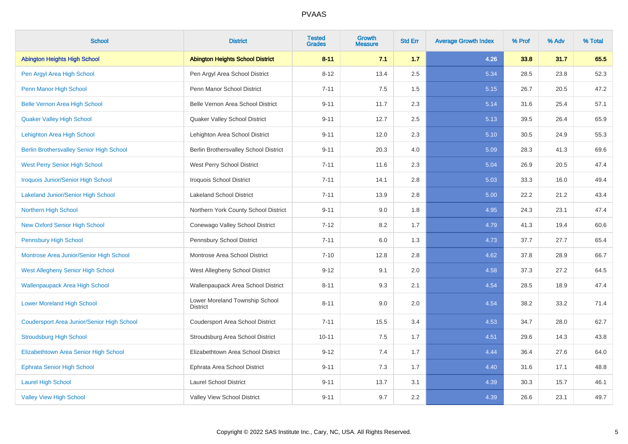| <b>School</b>                                     | <b>District</b>                                   | <b>Tested</b><br><b>Grades</b> | Growth<br><b>Measure</b> | <b>Std Err</b> | <b>Average Growth Index</b> | % Prof | % Adv | % Total |
|---------------------------------------------------|---------------------------------------------------|--------------------------------|--------------------------|----------------|-----------------------------|--------|-------|---------|
| <b>Abington Heights High School</b>               | <b>Abington Heights School District</b>           | $8 - 11$                       | 7.1                      | 1.7            | 4.26                        | 33.8   | 31.7  | 65.5    |
| Pen Argyl Area High School                        | Pen Argyl Area School District                    | $8 - 12$                       | 13.4                     | 2.5            | 5.34                        | 28.5   | 23.8  | 52.3    |
| Penn Manor High School                            | Penn Manor School District                        | $7 - 11$                       | 7.5                      | 1.5            | 5.15                        | 26.7   | 20.5  | 47.2    |
| <b>Belle Vernon Area High School</b>              | Belle Vernon Area School District                 | $9 - 11$                       | 11.7                     | 2.3            | 5.14                        | 31.6   | 25.4  | 57.1    |
| <b>Quaker Valley High School</b>                  | Quaker Valley School District                     | $9 - 11$                       | 12.7                     | 2.5            | 5.13                        | 39.5   | 26.4  | 65.9    |
| Lehighton Area High School                        | Lehighton Area School District                    | $9 - 11$                       | 12.0                     | 2.3            | 5.10                        | 30.5   | 24.9  | 55.3    |
| <b>Berlin Brothersvalley Senior High School</b>   | Berlin Brothersvalley School District             | $9 - 11$                       | 20.3                     | 4.0            | 5.09                        | 28.3   | 41.3  | 69.6    |
| <b>West Perry Senior High School</b>              | West Perry School District                        | $7 - 11$                       | 11.6                     | 2.3            | 5.04                        | 26.9   | 20.5  | 47.4    |
| <b>Iroquois Junior/Senior High School</b>         | Iroquois School District                          | $7 - 11$                       | 14.1                     | 2.8            | 5.03                        | 33.3   | 16.0  | 49.4    |
| <b>Lakeland Junior/Senior High School</b>         | <b>Lakeland School District</b>                   | $7 - 11$                       | 13.9                     | 2.8            | 5.00                        | 22.2   | 21.2  | 43.4    |
| Northern High School                              | Northern York County School District              | $9 - 11$                       | 9.0                      | 1.8            | 4.95                        | 24.3   | 23.1  | 47.4    |
| <b>New Oxford Senior High School</b>              | Conewago Valley School District                   | $7 - 12$                       | 8.2                      | 1.7            | 4.79                        | 41.3   | 19.4  | 60.6    |
| <b>Pennsbury High School</b>                      | Pennsbury School District                         | $7 - 11$                       | 6.0                      | 1.3            | 4.73                        | 37.7   | 27.7  | 65.4    |
| Montrose Area Junior/Senior High School           | Montrose Area School District                     | $7 - 10$                       | 12.8                     | 2.8            | 4.62                        | 37.8   | 28.9  | 66.7    |
| West Allegheny Senior High School                 | West Allegheny School District                    | $9 - 12$                       | 9.1                      | 2.0            | 4.58                        | 37.3   | 27.2  | 64.5    |
| <b>Wallenpaupack Area High School</b>             | Wallenpaupack Area School District                | $8 - 11$                       | 9.3                      | 2.1            | 4.54                        | 28.5   | 18.9  | 47.4    |
| <b>Lower Moreland High School</b>                 | Lower Moreland Township School<br><b>District</b> | $8 - 11$                       | 9.0                      | 2.0            | 4.54                        | 38.2   | 33.2  | 71.4    |
| <b>Coudersport Area Junior/Senior High School</b> | Coudersport Area School District                  | $7 - 11$                       | 15.5                     | 3.4            | 4.53                        | 34.7   | 28.0  | 62.7    |
| <b>Stroudsburg High School</b>                    | Stroudsburg Area School District                  | $10 - 11$                      | 7.5                      | 1.7            | 4.51                        | 29.6   | 14.3  | 43.8    |
| Elizabethtown Area Senior High School             | Elizabethtown Area School District                | $9 - 12$                       | 7.4                      | 1.7            | 4.44                        | 36.4   | 27.6  | 64.0    |
| <b>Ephrata Senior High School</b>                 | Ephrata Area School District                      | $9 - 11$                       | 7.3                      | 1.7            | 4.40                        | 31.6   | 17.1  | 48.8    |
| <b>Laurel High School</b>                         | <b>Laurel School District</b>                     | $9 - 11$                       | 13.7                     | 3.1            | 4.39                        | 30.3   | 15.7  | 46.1    |
| <b>Valley View High School</b>                    | Valley View School District                       | $9 - 11$                       | 9.7                      | 2.2            | 4.39                        | 26.6   | 23.1  | 49.7    |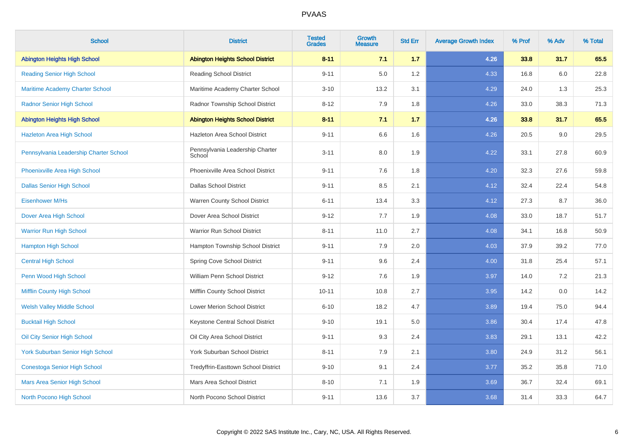| <b>School</b>                           | <b>District</b>                           | <b>Tested</b><br><b>Grades</b> | Growth<br><b>Measure</b> | <b>Std Err</b> | <b>Average Growth Index</b> | % Prof | % Adv | % Total |
|-----------------------------------------|-------------------------------------------|--------------------------------|--------------------------|----------------|-----------------------------|--------|-------|---------|
| <b>Abington Heights High School</b>     | <b>Abington Heights School District</b>   | $8 - 11$                       | 7.1                      | 1.7            | 4.26                        | 33.8   | 31.7  | 65.5    |
| <b>Reading Senior High School</b>       | <b>Reading School District</b>            | $9 - 11$                       | 5.0                      | 1.2            | 4.33                        | 16.8   | 6.0   | 22.8    |
| <b>Maritime Academy Charter School</b>  | Maritime Academy Charter School           | $3 - 10$                       | 13.2                     | 3.1            | 4.29                        | 24.0   | 1.3   | 25.3    |
| <b>Radnor Senior High School</b>        | Radnor Township School District           | $8 - 12$                       | 7.9                      | 1.8            | 4.26                        | 33.0   | 38.3  | 71.3    |
| <b>Abington Heights High School</b>     | <b>Abington Heights School District</b>   | $8 - 11$                       | 7.1                      | 1.7            | 4.26                        | 33.8   | 31.7  | 65.5    |
| <b>Hazleton Area High School</b>        | Hazleton Area School District             | $9 - 11$                       | 6.6                      | 1.6            | 4.26                        | 20.5   | 9.0   | 29.5    |
| Pennsylvania Leadership Charter School  | Pennsylvania Leadership Charter<br>School | $3 - 11$                       | 8.0                      | 1.9            | 4.22                        | 33.1   | 27.8  | 60.9    |
| Phoenixville Area High School           | Phoenixville Area School District         | $9 - 11$                       | 7.6                      | 1.8            | 4.20                        | 32.3   | 27.6  | 59.8    |
| <b>Dallas Senior High School</b>        | <b>Dallas School District</b>             | $9 - 11$                       | 8.5                      | 2.1            | 4.12                        | 32.4   | 22.4  | 54.8    |
| Eisenhower M/Hs                         | Warren County School District             | $6 - 11$                       | 13.4                     | 3.3            | 4.12                        | 27.3   | 8.7   | 36.0    |
| Dover Area High School                  | Dover Area School District                | $9 - 12$                       | 7.7                      | 1.9            | 4.08                        | 33.0   | 18.7  | 51.7    |
| <b>Warrior Run High School</b>          | Warrior Run School District               | $8 - 11$                       | 11.0                     | 2.7            | 4.08                        | 34.1   | 16.8  | 50.9    |
| <b>Hampton High School</b>              | Hampton Township School District          | $9 - 11$                       | 7.9                      | 2.0            | 4.03                        | 37.9   | 39.2  | 77.0    |
| <b>Central High School</b>              | Spring Cove School District               | $9 - 11$                       | 9.6                      | 2.4            | 4.00                        | 31.8   | 25.4  | 57.1    |
| Penn Wood High School                   | William Penn School District              | $9 - 12$                       | 7.6                      | 1.9            | 3.97                        | 14.0   | 7.2   | 21.3    |
| Mifflin County High School              | Mifflin County School District            | $10 - 11$                      | 10.8                     | 2.7            | 3.95                        | 14.2   | 0.0   | 14.2    |
| <b>Welsh Valley Middle School</b>       | Lower Merion School District              | $6 - 10$                       | 18.2                     | 4.7            | 3.89                        | 19.4   | 75.0  | 94.4    |
| <b>Bucktail High School</b>             | Keystone Central School District          | $9 - 10$                       | 19.1                     | 5.0            | 3.86                        | 30.4   | 17.4  | 47.8    |
| Oil City Senior High School             | Oil City Area School District             | $9 - 11$                       | 9.3                      | 2.4            | 3.83                        | 29.1   | 13.1  | 42.2    |
| <b>York Suburban Senior High School</b> | York Suburban School District             | $8 - 11$                       | 7.9                      | 2.1            | 3.80                        | 24.9   | 31.2  | 56.1    |
| <b>Conestoga Senior High School</b>     | Tredyffrin-Easttown School District       | $9 - 10$                       | 9.1                      | 2.4            | 3.77                        | 35.2   | 35.8  | 71.0    |
| Mars Area Senior High School            | Mars Area School District                 | $8 - 10$                       | 7.1                      | 1.9            | 3.69                        | 36.7   | 32.4  | 69.1    |
| North Pocono High School                | North Pocono School District              | $9 - 11$                       | 13.6                     | 3.7            | 3.68                        | 31.4   | 33.3  | 64.7    |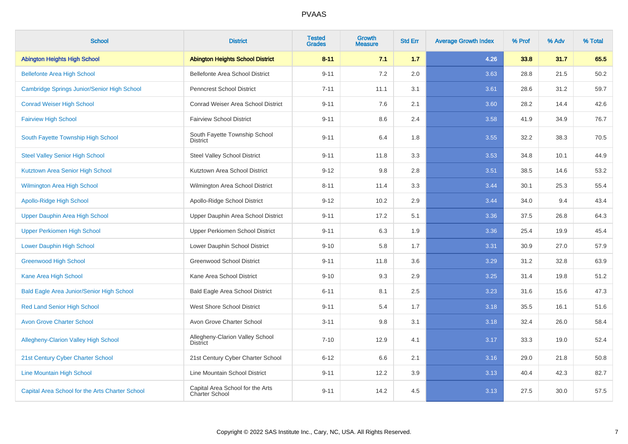| <b>School</b>                                    | <b>District</b>                                    | <b>Tested</b><br><b>Grades</b> | <b>Growth</b><br><b>Measure</b> | <b>Std Err</b> | <b>Average Growth Index</b> | % Prof | % Adv | % Total |
|--------------------------------------------------|----------------------------------------------------|--------------------------------|---------------------------------|----------------|-----------------------------|--------|-------|---------|
| <b>Abington Heights High School</b>              | <b>Abington Heights School District</b>            | $8 - 11$                       | 7.1                             | 1.7            | 4.26                        | 33.8   | 31.7  | 65.5    |
| <b>Bellefonte Area High School</b>               | Bellefonte Area School District                    | $9 - 11$                       | 7.2                             | 2.0            | 3.63                        | 28.8   | 21.5  | 50.2    |
| Cambridge Springs Junior/Senior High School      | Penncrest School District                          | $7 - 11$                       | 11.1                            | 3.1            | 3.61                        | 28.6   | 31.2  | 59.7    |
| <b>Conrad Weiser High School</b>                 | Conrad Weiser Area School District                 | $9 - 11$                       | 7.6                             | 2.1            | 3.60                        | 28.2   | 14.4  | 42.6    |
| <b>Fairview High School</b>                      | <b>Fairview School District</b>                    | $9 - 11$                       | 8.6                             | 2.4            | 3.58                        | 41.9   | 34.9  | 76.7    |
| South Fayette Township High School               | South Fayette Township School<br><b>District</b>   | $9 - 11$                       | 6.4                             | 1.8            | 3.55                        | 32.2   | 38.3  | 70.5    |
| <b>Steel Valley Senior High School</b>           | <b>Steel Valley School District</b>                | $9 - 11$                       | 11.8                            | 3.3            | 3.53                        | 34.8   | 10.1  | 44.9    |
| Kutztown Area Senior High School                 | Kutztown Area School District                      | $9 - 12$                       | 9.8                             | 2.8            | 3.51                        | 38.5   | 14.6  | 53.2    |
| <b>Wilmington Area High School</b>               | Wilmington Area School District                    | $8 - 11$                       | 11.4                            | 3.3            | 3.44                        | 30.1   | 25.3  | 55.4    |
| Apollo-Ridge High School                         | Apollo-Ridge School District                       | $9 - 12$                       | 10.2                            | 2.9            | 3.44                        | 34.0   | 9.4   | 43.4    |
| Upper Dauphin Area High School                   | Upper Dauphin Area School District                 | $9 - 11$                       | 17.2                            | 5.1            | 3.36                        | 37.5   | 26.8  | 64.3    |
| <b>Upper Perkiomen High School</b>               | Upper Perkiomen School District                    | $9 - 11$                       | 6.3                             | 1.9            | 3.36                        | 25.4   | 19.9  | 45.4    |
| <b>Lower Dauphin High School</b>                 | Lower Dauphin School District                      | $9 - 10$                       | 5.8                             | 1.7            | 3.31                        | 30.9   | 27.0  | 57.9    |
| <b>Greenwood High School</b>                     | <b>Greenwood School District</b>                   | $9 - 11$                       | 11.8                            | 3.6            | 3.29                        | 31.2   | 32.8  | 63.9    |
| Kane Area High School                            | Kane Area School District                          | $9 - 10$                       | 9.3                             | 2.9            | 3.25                        | 31.4   | 19.8  | 51.2    |
| <b>Bald Eagle Area Junior/Senior High School</b> | <b>Bald Eagle Area School District</b>             | $6 - 11$                       | 8.1                             | 2.5            | 3.23                        | 31.6   | 15.6  | 47.3    |
| <b>Red Land Senior High School</b>               | <b>West Shore School District</b>                  | $9 - 11$                       | 5.4                             | 1.7            | 3.18                        | 35.5   | 16.1  | 51.6    |
| <b>Avon Grove Charter School</b>                 | Avon Grove Charter School                          | $3 - 11$                       | 9.8                             | 3.1            | 3.18                        | 32.4   | 26.0  | 58.4    |
| <b>Allegheny-Clarion Valley High School</b>      | Allegheny-Clarion Valley School<br><b>District</b> | $7 - 10$                       | 12.9                            | 4.1            | 3.17                        | 33.3   | 19.0  | 52.4    |
| 21st Century Cyber Charter School                | 21st Century Cyber Charter School                  | $6 - 12$                       | 6.6                             | 2.1            | 3.16                        | 29.0   | 21.8  | 50.8    |
| <b>Line Mountain High School</b>                 | Line Mountain School District                      | $9 - 11$                       | 12.2                            | 3.9            | 3.13                        | 40.4   | 42.3  | 82.7    |
| Capital Area School for the Arts Charter School  | Capital Area School for the Arts<br>Charter School | $9 - 11$                       | 14.2                            | 4.5            | 3.13                        | 27.5   | 30.0  | 57.5    |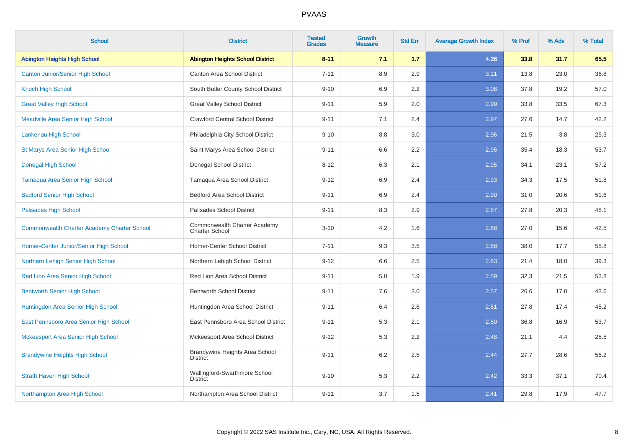| <b>School</b>                                      | <b>District</b>                                       | <b>Tested</b><br><b>Grades</b> | Growth<br><b>Measure</b> | <b>Std Err</b> | <b>Average Growth Index</b> | % Prof | % Adv | % Total |
|----------------------------------------------------|-------------------------------------------------------|--------------------------------|--------------------------|----------------|-----------------------------|--------|-------|---------|
| <b>Abington Heights High School</b>                | <b>Abington Heights School District</b>               | $8 - 11$                       | 7.1                      | 1.7            | 4.26                        | 33.8   | 31.7  | 65.5    |
| <b>Canton Junior/Senior High School</b>            | Canton Area School District                           | $7 - 11$                       | 8.9                      | 2.9            | 3.11                        | 13.8   | 23.0  | 36.8    |
| <b>Knoch High School</b>                           | South Butler County School District                   | $9 - 10$                       | 6.9                      | 2.2            | 3.08                        | 37.8   | 19.2  | 57.0    |
| <b>Great Valley High School</b>                    | <b>Great Valley School District</b>                   | $9 - 11$                       | 5.9                      | 2.0            | 2.99                        | 33.8   | 33.5  | 67.3    |
| <b>Meadville Area Senior High School</b>           | <b>Crawford Central School District</b>               | $9 - 11$                       | 7.1                      | 2.4            | 2.97                        | 27.6   | 14.7  | 42.2    |
| Lankenau High School                               | Philadelphia City School District                     | $9 - 10$                       | 8.8                      | 3.0            | 2.96                        | 21.5   | 3.8   | 25.3    |
| St Marys Area Senior High School                   | Saint Marys Area School District                      | $9 - 11$                       | 6.6                      | 2.2            | 2.96                        | 35.4   | 18.3  | 53.7    |
| <b>Donegal High School</b>                         | Donegal School District                               | $8 - 12$                       | 6.3                      | 2.1            | 2.95                        | 34.1   | 23.1  | 57.2    |
| <b>Tamaqua Area Senior High School</b>             | Tamaqua Area School District                          | $9 - 12$                       | 6.9                      | 2.4            | 2.93                        | 34.3   | 17.5  | 51.8    |
| <b>Bedford Senior High School</b>                  | <b>Bedford Area School District</b>                   | $9 - 11$                       | 6.9                      | 2.4            | 2.90                        | 31.0   | 20.6  | 51.6    |
| <b>Palisades High School</b>                       | Palisades School District                             | $9 - 11$                       | 8.3                      | 2.9            | 2.87                        | 27.8   | 20.3  | 48.1    |
| <b>Commonwealth Charter Academy Charter School</b> | Commonwealth Charter Academy<br><b>Charter School</b> | $3 - 10$                       | 4.2                      | 1.6            | 2.68                        | 27.0   | 15.6  | 42.5    |
| Homer-Center Junior/Senior High School             | Homer-Center School District                          | $7 - 11$                       | 9.3                      | 3.5            | 2.68                        | 38.0   | 17.7  | 55.8    |
| Northern Lehigh Senior High School                 | Northern Lehigh School District                       | $9 - 12$                       | 6.6                      | 2.5            | 2.63                        | 21.4   | 18.0  | 39.3    |
| Red Lion Area Senior High School                   | Red Lion Area School District                         | $9 - 11$                       | 5.0                      | 1.9            | 2.59                        | 32.3   | 21.5  | 53.8    |
| <b>Bentworth Senior High School</b>                | <b>Bentworth School District</b>                      | $9 - 11$                       | 7.6                      | 3.0            | 2.57                        | 26.6   | 17.0  | 43.6    |
| Huntingdon Area Senior High School                 | Huntingdon Area School District                       | $9 - 11$                       | 6.4                      | 2.6            | 2.51                        | 27.8   | 17.4  | 45.2    |
| East Pennsboro Area Senior High School             | East Pennsboro Area School District                   | $9 - 11$                       | 5.3                      | 2.1            | 2.50                        | 36.8   | 16.9  | 53.7    |
| <b>Mckeesport Area Senior High School</b>          | Mckeesport Area School District                       | $9 - 12$                       | 5.3                      | 2.2            | 2.48                        | 21.1   | 4.4   | 25.5    |
| <b>Brandywine Heights High School</b>              | Brandywine Heights Area School<br><b>District</b>     | $9 - 11$                       | 6.2                      | 2.5            | 2.44                        | 27.7   | 28.6  | 56.2    |
| <b>Strath Haven High School</b>                    | Wallingford-Swarthmore School<br><b>District</b>      | $9 - 10$                       | 5.3                      | 2.2            | 2.42                        | 33.3   | 37.1  | 70.4    |
| Northampton Area High School                       | Northampton Area School District                      | $9 - 11$                       | 3.7                      | 1.5            | 2.41                        | 29.8   | 17.9  | 47.7    |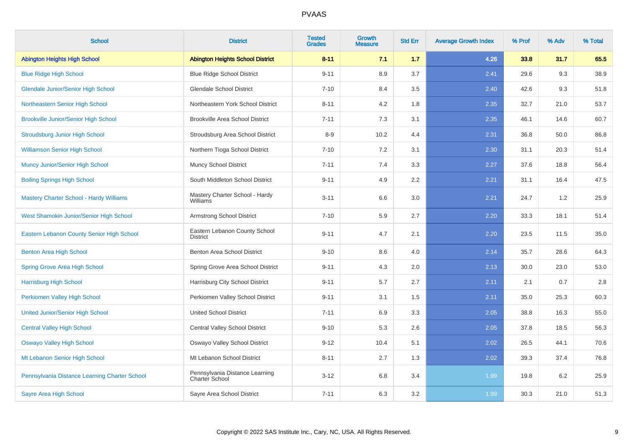| <b>School</b>                                  | <b>District</b>                                  | <b>Tested</b><br><b>Grades</b> | <b>Growth</b><br><b>Measure</b> | <b>Std Err</b> | <b>Average Growth Index</b> | % Prof | % Adv | % Total |
|------------------------------------------------|--------------------------------------------------|--------------------------------|---------------------------------|----------------|-----------------------------|--------|-------|---------|
| <b>Abington Heights High School</b>            | <b>Abington Heights School District</b>          | $8 - 11$                       | 7.1                             | $1.7$          | 4.26                        | 33.8   | 31.7  | 65.5    |
| <b>Blue Ridge High School</b>                  | <b>Blue Ridge School District</b>                | $9 - 11$                       | 8.9                             | 3.7            | 2.41                        | 29.6   | 9.3   | 38.9    |
| <b>Glendale Junior/Senior High School</b>      | <b>Glendale School District</b>                  | $7 - 10$                       | 8.4                             | 3.5            | 2.40                        | 42.6   | 9.3   | 51.8    |
| Northeastern Senior High School                | Northeastern York School District                | $8 - 11$                       | 4.2                             | 1.8            | 2.35                        | 32.7   | 21.0  | 53.7    |
| <b>Brookville Junior/Senior High School</b>    | <b>Brookville Area School District</b>           | $7 - 11$                       | 7.3                             | 3.1            | 2.35                        | 46.1   | 14.6  | 60.7    |
| <b>Stroudsburg Junior High School</b>          | Stroudsburg Area School District                 | $8 - 9$                        | 10.2                            | 4.4            | 2.31                        | 36.8   | 50.0  | 86.8    |
| <b>Williamson Senior High School</b>           | Northern Tioga School District                   | $7 - 10$                       | 7.2                             | 3.1            | 2.30                        | 31.1   | 20.3  | 51.4    |
| <b>Muncy Junior/Senior High School</b>         | <b>Muncy School District</b>                     | $7 - 11$                       | 7.4                             | 3.3            | 2.27                        | 37.6   | 18.8  | 56.4    |
| <b>Boiling Springs High School</b>             | South Middleton School District                  | $9 - 11$                       | 4.9                             | 2.2            | 2.21                        | 31.1   | 16.4  | 47.5    |
| <b>Mastery Charter School - Hardy Williams</b> | Mastery Charter School - Hardy<br>Williams       | $3 - 11$                       | 6.6                             | 3.0            | 2.21                        | 24.7   | 1.2   | 25.9    |
| West Shamokin Junior/Senior High School        | Armstrong School District                        | $7 - 10$                       | 5.9                             | 2.7            | 2.20                        | 33.3   | 18.1  | 51.4    |
| Eastern Lebanon County Senior High School      | Eastern Lebanon County School<br><b>District</b> | $9 - 11$                       | 4.7                             | 2.1            | 2.20                        | 23.5   | 11.5  | 35.0    |
| <b>Benton Area High School</b>                 | <b>Benton Area School District</b>               | $9 - 10$                       | 8.6                             | 4.0            | 2.14                        | 35.7   | 28.6  | 64.3    |
| Spring Grove Area High School                  | Spring Grove Area School District                | $9 - 11$                       | 4.3                             | 2.0            | 2.13                        | 30.0   | 23.0  | 53.0    |
| <b>Harrisburg High School</b>                  | Harrisburg City School District                  | $9 - 11$                       | 5.7                             | 2.7            | 2.11                        | 2.1    | 0.7   | 2.8     |
| Perkiomen Valley High School                   | Perkiomen Valley School District                 | $9 - 11$                       | 3.1                             | 1.5            | 2.11                        | 35.0   | 25.3  | 60.3    |
| <b>United Junior/Senior High School</b>        | <b>United School District</b>                    | $7 - 11$                       | 6.9                             | 3.3            | 2.05                        | 38.8   | 16.3  | 55.0    |
| <b>Central Valley High School</b>              | Central Valley School District                   | $9 - 10$                       | 5.3                             | 2.6            | 2.05                        | 37.8   | 18.5  | 56.3    |
| <b>Oswayo Valley High School</b>               | Oswayo Valley School District                    | $9 - 12$                       | 10.4                            | 5.1            | 2.02                        | 26.5   | 44.1  | 70.6    |
| Mt Lebanon Senior High School                  | Mt Lebanon School District                       | $8 - 11$                       | 2.7                             | 1.3            | 2.02                        | 39.3   | 37.4  | 76.8    |
| Pennsylvania Distance Learning Charter School  | Pennsylvania Distance Learning<br>Charter School | $3 - 12$                       | 6.8                             | 3.4            | 1.99                        | 19.8   | 6.2   | 25.9    |
| Sayre Area High School                         | Sayre Area School District                       | $7 - 11$                       | 6.3                             | 3.2            | 1.99                        | 30.3   | 21.0  | 51.3    |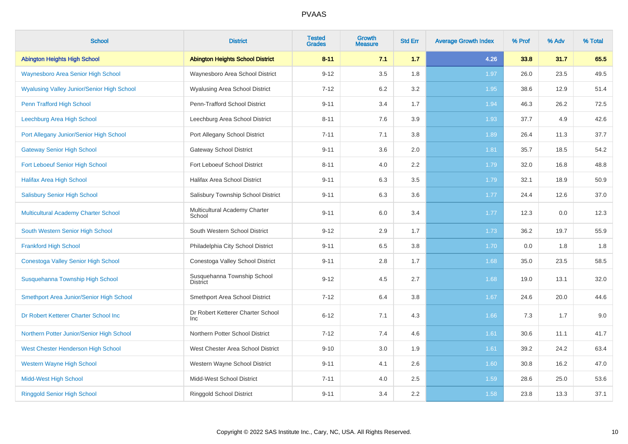| <b>School</b>                                     | <b>District</b>                                 | <b>Tested</b><br><b>Grades</b> | <b>Growth</b><br><b>Measure</b> | <b>Std Err</b> | <b>Average Growth Index</b> | % Prof | % Adv | % Total |
|---------------------------------------------------|-------------------------------------------------|--------------------------------|---------------------------------|----------------|-----------------------------|--------|-------|---------|
| <b>Abington Heights High School</b>               | <b>Abington Heights School District</b>         | $8 - 11$                       | 7.1                             | 1.7            | 4.26                        | 33.8   | 31.7  | 65.5    |
| <b>Waynesboro Area Senior High School</b>         | Waynesboro Area School District                 | $9 - 12$                       | 3.5                             | 1.8            | 1.97                        | 26.0   | 23.5  | 49.5    |
| <b>Wyalusing Valley Junior/Senior High School</b> | <b>Wyalusing Area School District</b>           | $7 - 12$                       | 6.2                             | 3.2            | 1.95                        | 38.6   | 12.9  | 51.4    |
| Penn Trafford High School                         | Penn-Trafford School District                   | $9 - 11$                       | 3.4                             | 1.7            | 1.94                        | 46.3   | 26.2  | 72.5    |
| Leechburg Area High School                        | Leechburg Area School District                  | $8 - 11$                       | 7.6                             | 3.9            | 1.93                        | 37.7   | 4.9   | 42.6    |
| Port Allegany Junior/Senior High School           | Port Allegany School District                   | $7 - 11$                       | 7.1                             | 3.8            | 1.89                        | 26.4   | 11.3  | 37.7    |
| <b>Gateway Senior High School</b>                 | <b>Gateway School District</b>                  | $9 - 11$                       | 3.6                             | 2.0            | 1.81                        | 35.7   | 18.5  | 54.2    |
| Fort Leboeuf Senior High School                   | Fort Leboeuf School District                    | $8 - 11$                       | 4.0                             | 2.2            | 1.79                        | 32.0   | 16.8  | 48.8    |
| <b>Halifax Area High School</b>                   | Halifax Area School District                    | $9 - 11$                       | 6.3                             | 3.5            | 1.79                        | 32.1   | 18.9  | 50.9    |
| <b>Salisbury Senior High School</b>               | Salisbury Township School District              | $9 - 11$                       | 6.3                             | 3.6            | 1.77                        | 24.4   | 12.6  | 37.0    |
| Multicultural Academy Charter School              | Multicultural Academy Charter<br>School         | $9 - 11$                       | 6.0                             | 3.4            | 1.77                        | 12.3   | 0.0   | 12.3    |
| South Western Senior High School                  | South Western School District                   | $9 - 12$                       | 2.9                             | 1.7            | 1.73                        | 36.2   | 19.7  | 55.9    |
| <b>Frankford High School</b>                      | Philadelphia City School District               | $9 - 11$                       | 6.5                             | 3.8            | 1.70                        | 0.0    | 1.8   | 1.8     |
| Conestoga Valley Senior High School               | Conestoga Valley School District                | $9 - 11$                       | 2.8                             | 1.7            | 1.68                        | 35.0   | 23.5  | 58.5    |
| Susquehanna Township High School                  | Susquehanna Township School<br><b>District</b>  | $9 - 12$                       | 4.5                             | 2.7            | 1.68                        | 19.0   | 13.1  | 32.0    |
| Smethport Area Junior/Senior High School          | Smethport Area School District                  | $7 - 12$                       | 6.4                             | 3.8            | 1.67                        | 24.6   | 20.0  | 44.6    |
| Dr Robert Ketterer Charter School Inc             | Dr Robert Ketterer Charter School<br><b>Inc</b> | $6 - 12$                       | 7.1                             | 4.3            | 1.66                        | 7.3    | 1.7   | 9.0     |
| Northern Potter Junior/Senior High School         | Northern Potter School District                 | $7 - 12$                       | 7.4                             | 4.6            | 1.61                        | 30.6   | 11.1  | 41.7    |
| West Chester Henderson High School                | West Chester Area School District               | $9 - 10$                       | 3.0                             | 1.9            | 1.61                        | 39.2   | 24.2  | 63.4    |
| <b>Western Wayne High School</b>                  | Western Wayne School District                   | $9 - 11$                       | 4.1                             | 2.6            | 1.60                        | 30.8   | 16.2  | 47.0    |
| <b>Midd-West High School</b>                      | Midd-West School District                       | $7 - 11$                       | 4.0                             | 2.5            | 1.59                        | 28.6   | 25.0  | 53.6    |
| <b>Ringgold Senior High School</b>                | <b>Ringgold School District</b>                 | $9 - 11$                       | 3.4                             | 2.2            | 1.58                        | 23.8   | 13.3  | 37.1    |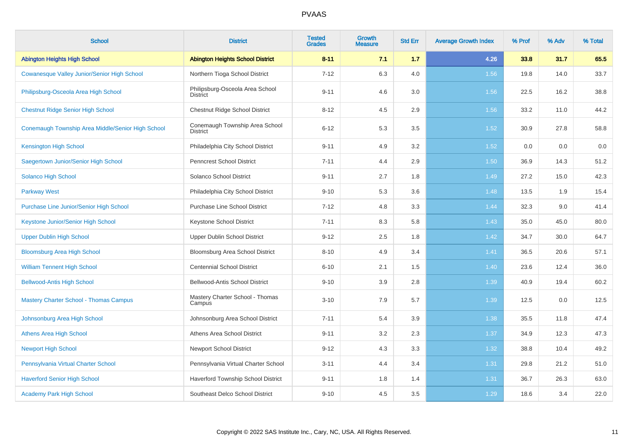| <b>School</b>                                     | <b>District</b>                                    | <b>Tested</b><br><b>Grades</b> | <b>Growth</b><br><b>Measure</b> | <b>Std Err</b> | <b>Average Growth Index</b> | % Prof | % Adv | % Total |
|---------------------------------------------------|----------------------------------------------------|--------------------------------|---------------------------------|----------------|-----------------------------|--------|-------|---------|
| <b>Abington Heights High School</b>               | <b>Abington Heights School District</b>            | $8 - 11$                       | 7.1                             | 1.7            | 4.26                        | 33.8   | 31.7  | 65.5    |
| Cowanesque Valley Junior/Senior High School       | Northern Tioga School District                     | $7 - 12$                       | 6.3                             | 4.0            | 1.56                        | 19.8   | 14.0  | 33.7    |
| Philipsburg-Osceola Area High School              | Philipsburg-Osceola Area School<br><b>District</b> | $9 - 11$                       | 4.6                             | 3.0            | 1.56                        | 22.5   | 16.2  | 38.8    |
| <b>Chestnut Ridge Senior High School</b>          | Chestnut Ridge School District                     | $8 - 12$                       | 4.5                             | 2.9            | 1.56                        | 33.2   | 11.0  | 44.2    |
| Conemaugh Township Area Middle/Senior High School | Conemaugh Township Area School<br><b>District</b>  | $6 - 12$                       | 5.3                             | 3.5            | 1.52                        | 30.9   | 27.8  | 58.8    |
| <b>Kensington High School</b>                     | Philadelphia City School District                  | $9 - 11$                       | 4.9                             | 3.2            | 1.52                        | 0.0    | 0.0   | 0.0     |
| Saegertown Junior/Senior High School              | <b>Penncrest School District</b>                   | $7 - 11$                       | 4.4                             | 2.9            | 1.50                        | 36.9   | 14.3  | 51.2    |
| <b>Solanco High School</b>                        | Solanco School District                            | $9 - 11$                       | 2.7                             | 1.8            | 1.49                        | 27.2   | 15.0  | 42.3    |
| <b>Parkway West</b>                               | Philadelphia City School District                  | $9 - 10$                       | 5.3                             | 3.6            | 1.48                        | 13.5   | 1.9   | 15.4    |
| <b>Purchase Line Junior/Senior High School</b>    | <b>Purchase Line School District</b>               | $7 - 12$                       | 4.8                             | 3.3            | 1.44                        | 32.3   | 9.0   | 41.4    |
| Keystone Junior/Senior High School                | <b>Keystone School District</b>                    | $7 - 11$                       | 8.3                             | 5.8            | 1.43                        | 35.0   | 45.0  | 80.0    |
| <b>Upper Dublin High School</b>                   | Upper Dublin School District                       | $9 - 12$                       | 2.5                             | 1.8            | 1.42                        | 34.7   | 30.0  | 64.7    |
| <b>Bloomsburg Area High School</b>                | Bloomsburg Area School District                    | $8 - 10$                       | 4.9                             | 3.4            | 1.41                        | 36.5   | 20.6  | 57.1    |
| <b>William Tennent High School</b>                | <b>Centennial School District</b>                  | $6 - 10$                       | 2.1                             | 1.5            | 1.40                        | 23.6   | 12.4  | 36.0    |
| <b>Bellwood-Antis High School</b>                 | Bellwood-Antis School District                     | $9 - 10$                       | 3.9                             | 2.8            | 1.39                        | 40.9   | 19.4  | 60.2    |
| <b>Mastery Charter School - Thomas Campus</b>     | Mastery Charter School - Thomas<br>Campus          | $3 - 10$                       | 7.9                             | 5.7            | 1.39                        | 12.5   | 0.0   | 12.5    |
| Johnsonburg Area High School                      | Johnsonburg Area School District                   | $7 - 11$                       | 5.4                             | 3.9            | 1.38                        | 35.5   | 11.8  | 47.4    |
| <b>Athens Area High School</b>                    | Athens Area School District                        | $9 - 11$                       | 3.2                             | 2.3            | 1.37                        | 34.9   | 12.3  | 47.3    |
| <b>Newport High School</b>                        | <b>Newport School District</b>                     | $9 - 12$                       | 4.3                             | 3.3            | 1.32                        | 38.8   | 10.4  | 49.2    |
| Pennsylvania Virtual Charter School               | Pennsylvania Virtual Charter School                | $3 - 11$                       | 4.4                             | 3.4            | 1.31                        | 29.8   | 21.2  | 51.0    |
| <b>Haverford Senior High School</b>               | Haverford Township School District                 | $9 - 11$                       | 1.8                             | 1.4            | 1.31                        | 36.7   | 26.3  | 63.0    |
| <b>Academy Park High School</b>                   | Southeast Delco School District                    | $9 - 10$                       | 4.5                             | 3.5            | 1.29                        | 18.6   | 3.4   | 22.0    |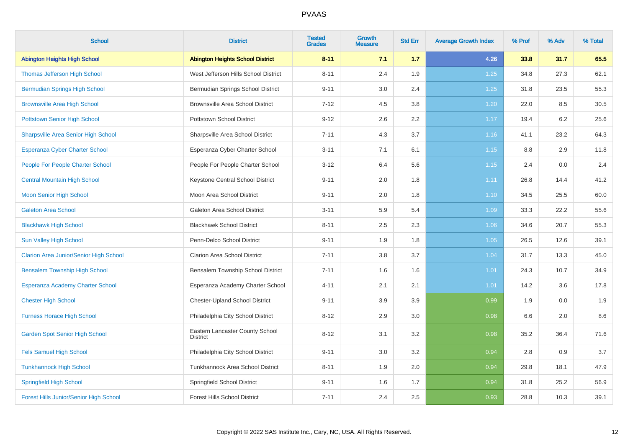| <b>School</b>                                 | <b>District</b>                                    | <b>Tested</b><br><b>Grades</b> | Growth<br><b>Measure</b> | <b>Std Err</b> | <b>Average Growth Index</b> | % Prof | % Adv | % Total |
|-----------------------------------------------|----------------------------------------------------|--------------------------------|--------------------------|----------------|-----------------------------|--------|-------|---------|
| <b>Abington Heights High School</b>           | <b>Abington Heights School District</b>            | $8 - 11$                       | 7.1                      | 1.7            | 4.26                        | 33.8   | 31.7  | 65.5    |
| Thomas Jefferson High School                  | West Jefferson Hills School District               | $8 - 11$                       | 2.4                      | 1.9            | 1.25                        | 34.8   | 27.3  | 62.1    |
| <b>Bermudian Springs High School</b>          | Bermudian Springs School District                  | $9 - 11$                       | 3.0                      | 2.4            | 1.25                        | 31.8   | 23.5  | 55.3    |
| <b>Brownsville Area High School</b>           | <b>Brownsville Area School District</b>            | $7 - 12$                       | 4.5                      | 3.8            | 1.20                        | 22.0   | 8.5   | 30.5    |
| <b>Pottstown Senior High School</b>           | Pottstown School District                          | $9 - 12$                       | 2.6                      | 2.2            | 1.17                        | 19.4   | 6.2   | 25.6    |
| <b>Sharpsville Area Senior High School</b>    | Sharpsville Area School District                   | $7 - 11$                       | 4.3                      | 3.7            | 1.16                        | 41.1   | 23.2  | 64.3    |
| Esperanza Cyber Charter School                | Esperanza Cyber Charter School                     | $3 - 11$                       | 7.1                      | 6.1            | 1.15                        | 8.8    | 2.9   | 11.8    |
| People For People Charter School              | People For People Charter School                   | $3 - 12$                       | 6.4                      | 5.6            | 1.15                        | 2.4    | 0.0   | 2.4     |
| <b>Central Mountain High School</b>           | Keystone Central School District                   | $9 - 11$                       | 2.0                      | 1.8            | 1.11                        | 26.8   | 14.4  | 41.2    |
| <b>Moon Senior High School</b>                | Moon Area School District                          | $9 - 11$                       | 2.0                      | 1.8            | 1.10                        | 34.5   | 25.5  | 60.0    |
| <b>Galeton Area School</b>                    | Galeton Area School District                       | $3 - 11$                       | 5.9                      | 5.4            | 1.09                        | 33.3   | 22.2  | 55.6    |
| <b>Blackhawk High School</b>                  | <b>Blackhawk School District</b>                   | $8 - 11$                       | 2.5                      | 2.3            | 1.06                        | 34.6   | 20.7  | 55.3    |
| Sun Valley High School                        | Penn-Delco School District                         | $9 - 11$                       | 1.9                      | 1.8            | 1.05                        | 26.5   | 12.6  | 39.1    |
| <b>Clarion Area Junior/Senior High School</b> | <b>Clarion Area School District</b>                | $7 - 11$                       | 3.8                      | 3.7            | 1.04                        | 31.7   | 13.3  | 45.0    |
| <b>Bensalem Township High School</b>          | Bensalem Township School District                  | $7 - 11$                       | 1.6                      | 1.6            | 1.01                        | 24.3   | 10.7  | 34.9    |
| Esperanza Academy Charter School              | Esperanza Academy Charter School                   | $4 - 11$                       | 2.1                      | 2.1            | 1.01                        | 14.2   | 3.6   | 17.8    |
| <b>Chester High School</b>                    | <b>Chester-Upland School District</b>              | $9 - 11$                       | 3.9                      | 3.9            | 0.99                        | 1.9    | 0.0   | 1.9     |
| <b>Furness Horace High School</b>             | Philadelphia City School District                  | $8 - 12$                       | 2.9                      | 3.0            | 0.98                        | 6.6    | 2.0   | 8.6     |
| <b>Garden Spot Senior High School</b>         | Eastern Lancaster County School<br><b>District</b> | $8 - 12$                       | 3.1                      | 3.2            | 0.98                        | 35.2   | 36.4  | 71.6    |
| <b>Fels Samuel High School</b>                | Philadelphia City School District                  | $9 - 11$                       | 3.0                      | 3.2            | 0.94                        | 2.8    | 0.9   | 3.7     |
| <b>Tunkhannock High School</b>                | Tunkhannock Area School District                   | $8 - 11$                       | 1.9                      | 2.0            | 0.94                        | 29.8   | 18.1  | 47.9    |
| <b>Springfield High School</b>                | Springfield School District                        | $9 - 11$                       | 1.6                      | 1.7            | 0.94                        | 31.8   | 25.2  | 56.9    |
| <b>Forest Hills Junior/Senior High School</b> | <b>Forest Hills School District</b>                | $7 - 11$                       | 2.4                      | 2.5            | 0.93                        | 28.8   | 10.3  | 39.1    |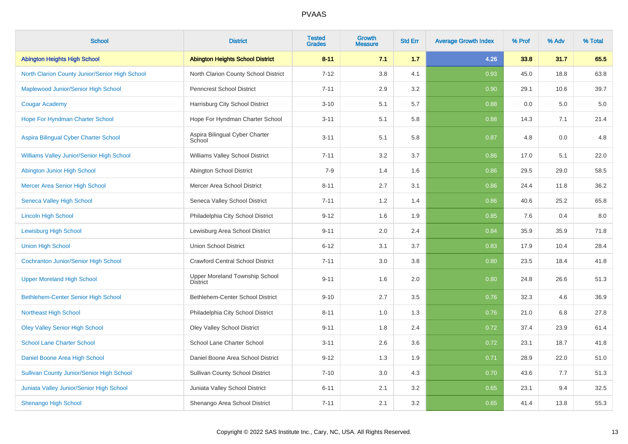| <b>School</b>                                    | <b>District</b>                                   | <b>Tested</b><br><b>Grades</b> | Growth<br><b>Measure</b> | <b>Std Err</b> | <b>Average Growth Index</b> | % Prof | % Adv | % Total |
|--------------------------------------------------|---------------------------------------------------|--------------------------------|--------------------------|----------------|-----------------------------|--------|-------|---------|
| <b>Abington Heights High School</b>              | <b>Abington Heights School District</b>           | $8 - 11$                       | 7.1                      | 1.7            | 4.26                        | 33.8   | 31.7  | 65.5    |
| North Clarion County Junior/Senior High School   | North Clarion County School District              | $7 - 12$                       | 3.8                      | 4.1            | 0.93                        | 45.0   | 18.8  | 63.8    |
| Maplewood Junior/Senior High School              | <b>Penncrest School District</b>                  | $7 - 11$                       | 2.9                      | 3.2            | 0.90                        | 29.1   | 10.6  | 39.7    |
| <b>Cougar Academy</b>                            | Harrisburg City School District                   | $3 - 10$                       | 5.1                      | 5.7            | 0.88                        | 0.0    | 5.0   | $5.0\,$ |
| Hope For Hyndman Charter School                  | Hope For Hyndman Charter School                   | $3 - 11$                       | 5.1                      | 5.8            | 0.88                        | 14.3   | 7.1   | 21.4    |
| Aspira Bilingual Cyber Charter School            | Aspira Bilingual Cyber Charter<br>School          | $3 - 11$                       | 5.1                      | 5.8            | 0.87                        | 4.8    | 0.0   | 4.8     |
| Williams Valley Junior/Senior High School        | Williams Valley School District                   | $7 - 11$                       | 3.2                      | 3.7            | 0.86                        | 17.0   | 5.1   | 22.0    |
| Abington Junior High School                      | Abington School District                          | $7-9$                          | 1.4                      | 1.6            | 0.86                        | 29.5   | 29.0  | 58.5    |
| Mercer Area Senior High School                   | Mercer Area School District                       | $8 - 11$                       | 2.7                      | 3.1            | 0.86                        | 24.4   | 11.8  | 36.2    |
| <b>Seneca Valley High School</b>                 | Seneca Valley School District                     | $7 - 11$                       | 1.2                      | 1.4            | 0.86                        | 40.6   | 25.2  | 65.8    |
| <b>Lincoln High School</b>                       | Philadelphia City School District                 | $9 - 12$                       | 1.6                      | 1.9            | 0.85                        | 7.6    | 0.4   | $8.0\,$ |
| <b>Lewisburg High School</b>                     | Lewisburg Area School District                    | $9 - 11$                       | 2.0                      | 2.4            | 0.84                        | 35.9   | 35.9  | 71.8    |
| <b>Union High School</b>                         | <b>Union School District</b>                      | $6 - 12$                       | 3.1                      | 3.7            | 0.83                        | 17.9   | 10.4  | 28.4    |
| Cochranton Junior/Senior High School             | <b>Crawford Central School District</b>           | $7 - 11$                       | 3.0                      | 3.8            | 0.80                        | 23.5   | 18.4  | 41.8    |
| <b>Upper Moreland High School</b>                | Upper Moreland Township School<br><b>District</b> | $9 - 11$                       | 1.6                      | 2.0            | 0.80                        | 24.8   | 26.6  | 51.3    |
| <b>Bethlehem-Center Senior High School</b>       | Bethlehem-Center School District                  | $9 - 10$                       | 2.7                      | 3.5            | 0.76                        | 32.3   | 4.6   | 36.9    |
| <b>Northeast High School</b>                     | Philadelphia City School District                 | $8 - 11$                       | 1.0                      | 1.3            | 0.76                        | 21.0   | 6.8   | 27.8    |
| <b>Oley Valley Senior High School</b>            | <b>Oley Valley School District</b>                | $9 - 11$                       | 1.8                      | 2.4            | 0.72                        | 37.4   | 23.9  | 61.4    |
| <b>School Lane Charter School</b>                | School Lane Charter School                        | $3 - 11$                       | 2.6                      | 3.6            | 0.72                        | 23.1   | 18.7  | 41.8    |
| Daniel Boone Area High School                    | Daniel Boone Area School District                 | $9 - 12$                       | 1.3                      | 1.9            | 0.71                        | 28.9   | 22.0  | 51.0    |
| <b>Sullivan County Junior/Senior High School</b> | <b>Sullivan County School District</b>            | $7 - 10$                       | 3.0                      | 4.3            | 0.70                        | 43.6   | 7.7   | 51.3    |
| Juniata Valley Junior/Senior High School         | Juniata Valley School District                    | $6 - 11$                       | 2.1                      | 3.2            | 0.65                        | 23.1   | 9.4   | 32.5    |
| <b>Shenango High School</b>                      | Shenango Area School District                     | $7 - 11$                       | 2.1                      | 3.2            | 0.65                        | 41.4   | 13.8  | 55.3    |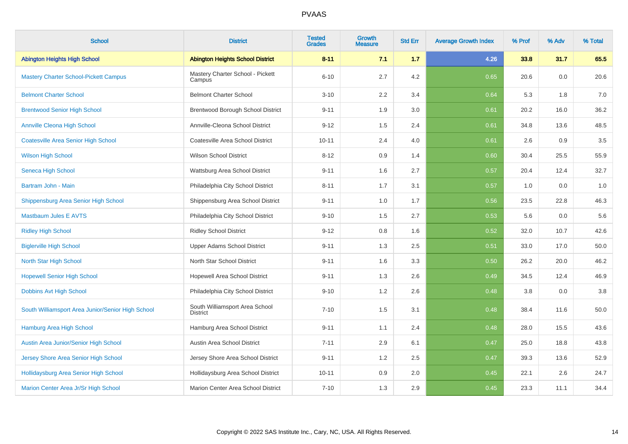| <b>School</b>                                     | <b>District</b>                                   | <b>Tested</b><br><b>Grades</b> | <b>Growth</b><br>Measure | <b>Std Err</b> | <b>Average Growth Index</b> | % Prof | % Adv | % Total |
|---------------------------------------------------|---------------------------------------------------|--------------------------------|--------------------------|----------------|-----------------------------|--------|-------|---------|
| <b>Abington Heights High School</b>               | <b>Abington Heights School District</b>           | $8 - 11$                       | 7.1                      | 1.7            | 4.26                        | 33.8   | 31.7  | 65.5    |
| <b>Mastery Charter School-Pickett Campus</b>      | Mastery Charter School - Pickett<br>Campus        | $6 - 10$                       | 2.7                      | 4.2            | 0.65                        | 20.6   | 0.0   | 20.6    |
| <b>Belmont Charter School</b>                     | <b>Belmont Charter School</b>                     | $3 - 10$                       | 2.2                      | 3.4            | 0.64                        | 5.3    | 1.8   | 7.0     |
| <b>Brentwood Senior High School</b>               | Brentwood Borough School District                 | $9 - 11$                       | 1.9                      | 3.0            | 0.61                        | 20.2   | 16.0  | 36.2    |
| <b>Annville Cleona High School</b>                | Annville-Cleona School District                   | $9 - 12$                       | 1.5                      | 2.4            | 0.61                        | 34.8   | 13.6  | 48.5    |
| <b>Coatesville Area Senior High School</b>        | Coatesville Area School District                  | $10 - 11$                      | 2.4                      | 4.0            | 0.61                        | 2.6    | 0.9   | $3.5\,$ |
| <b>Wilson High School</b>                         | <b>Wilson School District</b>                     | $8 - 12$                       | 0.9                      | 1.4            | 0.60                        | 30.4   | 25.5  | 55.9    |
| Seneca High School                                | Wattsburg Area School District                    | $9 - 11$                       | 1.6                      | 2.7            | 0.57                        | 20.4   | 12.4  | 32.7    |
| Bartram John - Main                               | Philadelphia City School District                 | $8 - 11$                       | 1.7                      | 3.1            | 0.57                        | 1.0    | 0.0   | 1.0     |
| Shippensburg Area Senior High School              | Shippensburg Area School District                 | $9 - 11$                       | 1.0                      | 1.7            | 0.56                        | 23.5   | 22.8  | 46.3    |
| <b>Mastbaum Jules E AVTS</b>                      | Philadelphia City School District                 | $9 - 10$                       | 1.5                      | 2.7            | 0.53                        | 5.6    | 0.0   | 5.6     |
| <b>Ridley High School</b>                         | <b>Ridley School District</b>                     | $9 - 12$                       | 0.8                      | 1.6            | 0.52                        | 32.0   | 10.7  | 42.6    |
| <b>Biglerville High School</b>                    | <b>Upper Adams School District</b>                | $9 - 11$                       | 1.3                      | 2.5            | 0.51                        | 33.0   | 17.0  | 50.0    |
| North Star High School                            | North Star School District                        | $9 - 11$                       | 1.6                      | 3.3            | 0.50                        | 26.2   | 20.0  | 46.2    |
| <b>Hopewell Senior High School</b>                | Hopewell Area School District                     | $9 - 11$                       | 1.3                      | 2.6            | 0.49                        | 34.5   | 12.4  | 46.9    |
| Dobbins Avt High School                           | Philadelphia City School District                 | $9 - 10$                       | 1.2                      | 2.6            | 0.48                        | 3.8    | 0.0   | $3.8\,$ |
| South Williamsport Area Junior/Senior High School | South Williamsport Area School<br><b>District</b> | $7 - 10$                       | 1.5                      | 3.1            | 0.48                        | 38.4   | 11.6  | 50.0    |
| Hamburg Area High School                          | Hamburg Area School District                      | $9 - 11$                       | 1.1                      | 2.4            | 0.48                        | 28.0   | 15.5  | 43.6    |
| Austin Area Junior/Senior High School             | Austin Area School District                       | $7 - 11$                       | 2.9                      | 6.1            | 0.47                        | 25.0   | 18.8  | 43.8    |
| Jersey Shore Area Senior High School              | Jersey Shore Area School District                 | $9 - 11$                       | 1.2                      | 2.5            | 0.47                        | 39.3   | 13.6  | 52.9    |
| Hollidaysburg Area Senior High School             | Hollidaysburg Area School District                | $10 - 11$                      | 0.9                      | 2.0            | 0.45                        | 22.1   | 2.6   | 24.7    |
| Marion Center Area Jr/Sr High School              | Marion Center Area School District                | $7 - 10$                       | 1.3                      | 2.9            | 0.45                        | 23.3   | 11.1  | 34.4    |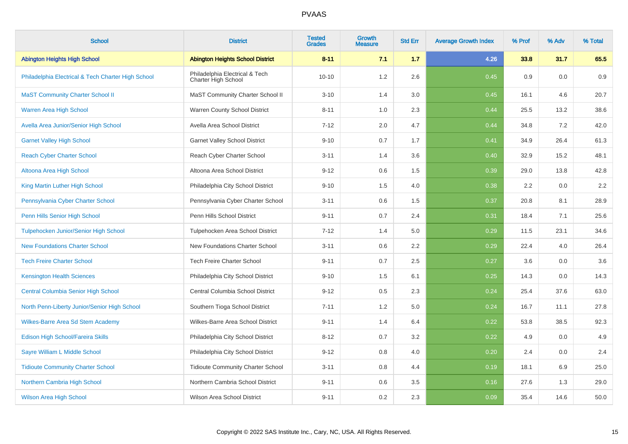| <b>School</b>                                      | <b>District</b>                                       | <b>Tested</b><br><b>Grades</b> | Growth<br><b>Measure</b> | <b>Std Err</b> | <b>Average Growth Index</b> | % Prof | % Adv | % Total |
|----------------------------------------------------|-------------------------------------------------------|--------------------------------|--------------------------|----------------|-----------------------------|--------|-------|---------|
| <b>Abington Heights High School</b>                | <b>Abington Heights School District</b>               | $8 - 11$                       | 7.1                      | 1.7            | 4.26                        | 33.8   | 31.7  | 65.5    |
| Philadelphia Electrical & Tech Charter High School | Philadelphia Electrical & Tech<br>Charter High School | $10 - 10$                      | 1.2                      | 2.6            | 0.45                        | 0.9    | 0.0   | 0.9     |
| <b>MaST Community Charter School II</b>            | MaST Community Charter School II                      | $3 - 10$                       | 1.4                      | 3.0            | 0.45                        | 16.1   | 4.6   | 20.7    |
| <b>Warren Area High School</b>                     | Warren County School District                         | $8 - 11$                       | 1.0                      | 2.3            | 0.44                        | 25.5   | 13.2  | 38.6    |
| Avella Area Junior/Senior High School              | Avella Area School District                           | $7 - 12$                       | 2.0                      | 4.7            | 0.44                        | 34.8   | 7.2   | 42.0    |
| <b>Garnet Valley High School</b>                   | <b>Garnet Valley School District</b>                  | $9 - 10$                       | 0.7                      | 1.7            | 0.41                        | 34.9   | 26.4  | 61.3    |
| <b>Reach Cyber Charter School</b>                  | Reach Cyber Charter School                            | $3 - 11$                       | 1.4                      | 3.6            | 0.40                        | 32.9   | 15.2  | 48.1    |
| Altoona Area High School                           | Altoona Area School District                          | $9 - 12$                       | 0.6                      | 1.5            | 0.39                        | 29.0   | 13.8  | 42.8    |
| King Martin Luther High School                     | Philadelphia City School District                     | $9 - 10$                       | 1.5                      | 4.0            | 0.38                        | 2.2    | 0.0   | 2.2     |
| Pennsylvania Cyber Charter School                  | Pennsylvania Cyber Charter School                     | $3 - 11$                       | 0.6                      | 1.5            | 0.37                        | 20.8   | 8.1   | 28.9    |
| Penn Hills Senior High School                      | Penn Hills School District                            | $9 - 11$                       | 0.7                      | 2.4            | 0.31                        | 18.4   | 7.1   | 25.6    |
| Tulpehocken Junior/Senior High School              | Tulpehocken Area School District                      | $7 - 12$                       | 1.4                      | 5.0            | 0.29                        | 11.5   | 23.1  | 34.6    |
| <b>New Foundations Charter School</b>              | New Foundations Charter School                        | $3 - 11$                       | 0.6                      | 2.2            | 0.29                        | 22.4   | 4.0   | 26.4    |
| <b>Tech Freire Charter School</b>                  | <b>Tech Freire Charter School</b>                     | $9 - 11$                       | 0.7                      | 2.5            | 0.27                        | 3.6    | 0.0   | 3.6     |
| <b>Kensington Health Sciences</b>                  | Philadelphia City School District                     | $9 - 10$                       | 1.5                      | 6.1            | 0.25                        | 14.3   | 0.0   | 14.3    |
| <b>Central Columbia Senior High School</b>         | Central Columbia School District                      | $9 - 12$                       | 0.5                      | 2.3            | 0.24                        | 25.4   | 37.6  | 63.0    |
| North Penn-Liberty Junior/Senior High School       | Southern Tioga School District                        | $7 - 11$                       | 1.2                      | 5.0            | 0.24                        | 16.7   | 11.1  | 27.8    |
| <b>Wilkes-Barre Area Sd Stem Academy</b>           | Wilkes-Barre Area School District                     | $9 - 11$                       | 1.4                      | 6.4            | 0.22                        | 53.8   | 38.5  | 92.3    |
| Edison High School/Fareira Skills                  | Philadelphia City School District                     | $8 - 12$                       | 0.7                      | 3.2            | 0.22                        | 4.9    | 0.0   | 4.9     |
| Sayre William L Middle School                      | Philadelphia City School District                     | $9 - 12$                       | 0.8                      | 4.0            | 0.20                        | 2.4    | 0.0   | 2.4     |
| <b>Tidioute Community Charter School</b>           | <b>Tidioute Community Charter School</b>              | $3 - 11$                       | 0.8                      | 4.4            | 0.19                        | 18.1   | 6.9   | 25.0    |
| Northern Cambria High School                       | Northern Cambria School District                      | $9 - 11$                       | 0.6                      | 3.5            | 0.16                        | 27.6   | 1.3   | 29.0    |
| <b>Wilson Area High School</b>                     | Wilson Area School District                           | $9 - 11$                       | 0.2                      | 2.3            | 0.09                        | 35.4   | 14.6  | 50.0    |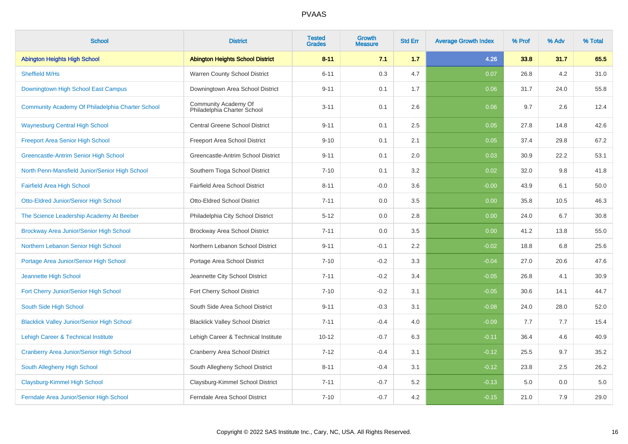| <b>School</b>                                     | <b>District</b>                                     | <b>Tested</b><br><b>Grades</b> | Growth<br><b>Measure</b> | <b>Std Err</b> | <b>Average Growth Index</b> | % Prof | % Adv | % Total |
|---------------------------------------------------|-----------------------------------------------------|--------------------------------|--------------------------|----------------|-----------------------------|--------|-------|---------|
| <b>Abington Heights High School</b>               | <b>Abington Heights School District</b>             | $8 - 11$                       | 7.1                      | 1.7            | 4.26                        | 33.8   | 31.7  | 65.5    |
| Sheffield M/Hs                                    | Warren County School District                       | $6 - 11$                       | 0.3                      | 4.7            | 0.07                        | 26.8   | 4.2   | 31.0    |
| Downingtown High School East Campus               | Downingtown Area School District                    | $9 - 11$                       | 0.1                      | 1.7            | 0.06                        | 31.7   | 24.0  | 55.8    |
| Community Academy Of Philadelphia Charter School  | Community Academy Of<br>Philadelphia Charter School | $3 - 11$                       | 0.1                      | 2.6            | 0.06                        | 9.7    | 2.6   | 12.4    |
| <b>Waynesburg Central High School</b>             | <b>Central Greene School District</b>               | $9 - 11$                       | 0.1                      | 2.5            | 0.05                        | 27.8   | 14.8  | 42.6    |
| <b>Freeport Area Senior High School</b>           | Freeport Area School District                       | $9 - 10$                       | 0.1                      | 2.1            | 0.05                        | 37.4   | 29.8  | 67.2    |
| Greencastle-Antrim Senior High School             | Greencastle-Antrim School District                  | $9 - 11$                       | 0.1                      | 2.0            | 0.03                        | 30.9   | 22.2  | 53.1    |
| North Penn-Mansfield Junior/Senior High School    | Southern Tioga School District                      | $7 - 10$                       | 0.1                      | 3.2            | 0.02                        | 32.0   | 9.8   | 41.8    |
| <b>Fairfield Area High School</b>                 | <b>Fairfield Area School District</b>               | $8 - 11$                       | $-0.0$                   | 3.6            | $-0.00$                     | 43.9   | 6.1   | 50.0    |
| Otto-Eldred Junior/Senior High School             | Otto-Eldred School District                         | $7 - 11$                       | 0.0                      | 3.5            | 0.00                        | 35.8   | 10.5  | 46.3    |
| The Science Leadership Academy At Beeber          | Philadelphia City School District                   | $5 - 12$                       | 0.0                      | 2.8            | 0.00                        | 24.0   | 6.7   | 30.8    |
| Brockway Area Junior/Senior High School           | Brockway Area School District                       | $7 - 11$                       | 0.0                      | 3.5            | 0.00                        | 41.2   | 13.8  | 55.0    |
| Northern Lebanon Senior High School               | Northern Lebanon School District                    | $9 - 11$                       | $-0.1$                   | 2.2            | $-0.02$                     | 18.8   | 6.8   | 25.6    |
| Portage Area Junior/Senior High School            | Portage Area School District                        | $7 - 10$                       | $-0.2$                   | 3.3            | $-0.04$                     | 27.0   | 20.6  | 47.6    |
| Jeannette High School                             | Jeannette City School District                      | $7 - 11$                       | $-0.2$                   | 3.4            | $-0.05$                     | 26.8   | 4.1   | 30.9    |
| Fort Cherry Junior/Senior High School             | Fort Cherry School District                         | $7 - 10$                       | $-0.2$                   | 3.1            | $-0.05$                     | 30.6   | 14.1  | 44.7    |
| South Side High School                            | South Side Area School District                     | $9 - 11$                       | $-0.3$                   | 3.1            | $-0.08$                     | 24.0   | 28.0  | 52.0    |
| <b>Blacklick Valley Junior/Senior High School</b> | <b>Blacklick Valley School District</b>             | $7 - 11$                       | $-0.4$                   | 4.0            | $-0.09$                     | 7.7    | 7.7   | 15.4    |
| Lehigh Career & Technical Institute               | Lehigh Career & Technical Institute                 | $10 - 12$                      | $-0.7$                   | 6.3            | $-0.11$                     | 36.4   | 4.6   | 40.9    |
| Cranberry Area Junior/Senior High School          | <b>Cranberry Area School District</b>               | $7 - 12$                       | $-0.4$                   | 3.1            | $-0.12$                     | 25.5   | 9.7   | 35.2    |
| South Allegheny High School                       | South Allegheny School District                     | $8 - 11$                       | $-0.4$                   | 3.1            | $-0.12$                     | 23.8   | 2.5   | 26.2    |
| Claysburg-Kimmel High School                      | Claysburg-Kimmel School District                    | $7 - 11$                       | $-0.7$                   | 5.2            | $-0.13$                     | 5.0    | 0.0   | 5.0     |
| Ferndale Area Junior/Senior High School           | Ferndale Area School District                       | $7 - 10$                       | $-0.7$                   | 4.2            | $-0.15$                     | 21.0   | 7.9   | 29.0    |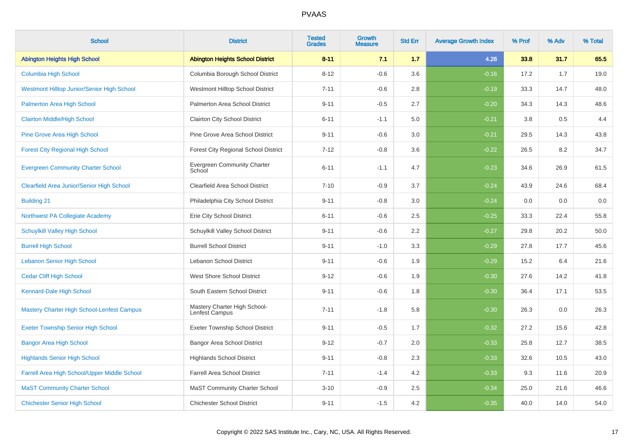| <b>School</b>                                     | <b>District</b>                                | <b>Tested</b><br><b>Grades</b> | Growth<br><b>Measure</b> | <b>Std Err</b> | <b>Average Growth Index</b> | % Prof | % Adv | % Total |
|---------------------------------------------------|------------------------------------------------|--------------------------------|--------------------------|----------------|-----------------------------|--------|-------|---------|
| <b>Abington Heights High School</b>               | <b>Abington Heights School District</b>        | $8 - 11$                       | 7.1                      | 1.7            | 4.26                        | 33.8   | 31.7  | 65.5    |
| <b>Columbia High School</b>                       | Columbia Borough School District               | $8 - 12$                       | $-0.6$                   | 3.6            | $-0.16$                     | 17.2   | 1.7   | 19.0    |
| <b>Westmont Hilltop Junior/Senior High School</b> | Westmont Hilltop School District               | $7 - 11$                       | $-0.6$                   | 2.8            | $-0.19$                     | 33.3   | 14.7  | 48.0    |
| Palmerton Area High School                        | Palmerton Area School District                 | $9 - 11$                       | $-0.5$                   | 2.7            | $-0.20$                     | 34.3   | 14.3  | 48.6    |
| <b>Clairton Middle/High School</b>                | <b>Clairton City School District</b>           | $6 - 11$                       | $-1.1$                   | 5.0            | $-0.21$                     | 3.8    | 0.5   | 4.4     |
| Pine Grove Area High School                       | Pine Grove Area School District                | $9 - 11$                       | $-0.6$                   | 3.0            | $-0.21$                     | 29.5   | 14.3  | 43.8    |
| <b>Forest City Regional High School</b>           | Forest City Regional School District           | $7 - 12$                       | $-0.8$                   | 3.6            | $-0.22$                     | 26.5   | 8.2   | 34.7    |
| <b>Evergreen Community Charter School</b>         | <b>Evergreen Community Charter</b><br>School   | $6 - 11$                       | $-1.1$                   | 4.7            | $-0.23$                     | 34.6   | 26.9  | 61.5    |
| <b>Clearfield Area Junior/Senior High School</b>  | Clearfield Area School District                | $7 - 10$                       | $-0.9$                   | 3.7            | $-0.24$                     | 43.9   | 24.6  | 68.4    |
| <b>Building 21</b>                                | Philadelphia City School District              | $9 - 11$                       | $-0.8$                   | 3.0            | $-0.24$                     | 0.0    | 0.0   | $0.0\,$ |
| Northwest PA Collegiate Academy                   | Erie City School District                      | $6 - 11$                       | $-0.6$                   | 2.5            | $-0.25$                     | 33.3   | 22.4  | 55.8    |
| <b>Schuylkill Valley High School</b>              | Schuylkill Valley School District              | $9 - 11$                       | $-0.6$                   | 2.2            | $-0.27$                     | 29.8   | 20.2  | 50.0    |
| <b>Burrell High School</b>                        | <b>Burrell School District</b>                 | $9 - 11$                       | $-1.0$                   | 3.3            | $-0.29$                     | 27.8   | 17.7  | 45.6    |
| <b>Lebanon Senior High School</b>                 | Lebanon School District                        | $9 - 11$                       | $-0.6$                   | 1.9            | $-0.29$                     | 15.2   | 6.4   | 21.6    |
| <b>Cedar Cliff High School</b>                    | West Shore School District                     | $9 - 12$                       | $-0.6$                   | 1.9            | $-0.30$                     | 27.6   | 14.2  | 41.8    |
| Kennard-Dale High School                          | South Eastern School District                  | $9 - 11$                       | $-0.6$                   | 1.8            | $-0.30$                     | 36.4   | 17.1  | 53.5    |
| <b>Mastery Charter High School-Lenfest Campus</b> | Mastery Charter High School-<br>Lenfest Campus | $7 - 11$                       | $-1.8$                   | 5.8            | $-0.30$                     | 26.3   | 0.0   | 26.3    |
| <b>Exeter Township Senior High School</b>         | <b>Exeter Township School District</b>         | $9 - 11$                       | $-0.5$                   | 1.7            | $-0.32$                     | 27.2   | 15.6  | 42.8    |
| <b>Bangor Area High School</b>                    | Bangor Area School District                    | $9 - 12$                       | $-0.7$                   | 2.0            | $-0.33$                     | 25.8   | 12.7  | 38.5    |
| <b>Highlands Senior High School</b>               | <b>Highlands School District</b>               | $9 - 11$                       | $-0.8$                   | 2.3            | $-0.33$                     | 32.6   | 10.5  | 43.0    |
| Farrell Area High School/Upper Middle School      | <b>Farrell Area School District</b>            | $7 - 11$                       | $-1.4$                   | 4.2            | $-0.33$                     | 9.3    | 11.6  | 20.9    |
| <b>MaST Community Charter School</b>              | <b>MaST Community Charter School</b>           | $3 - 10$                       | $-0.9$                   | 2.5            | $-0.34$                     | 25.0   | 21.6  | 46.6    |
| <b>Chichester Senior High School</b>              | <b>Chichester School District</b>              | $9 - 11$                       | $-1.5$                   | 4.2            | $-0.35$                     | 40.0   | 14.0  | 54.0    |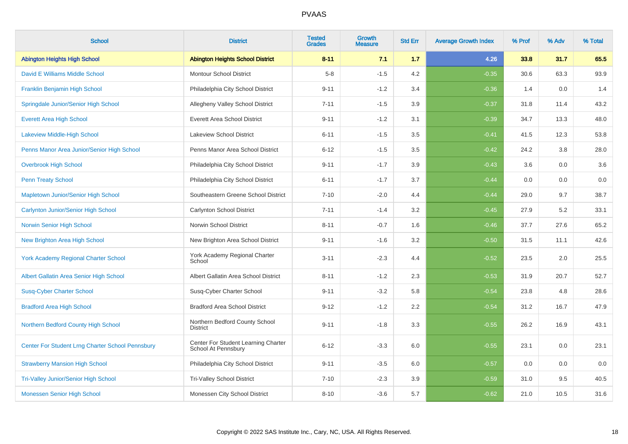| <b>School</b>                                           | <b>District</b>                                            | <b>Tested</b><br><b>Grades</b> | <b>Growth</b><br><b>Measure</b> | <b>Std Err</b> | <b>Average Growth Index</b> | % Prof | % Adv | % Total |
|---------------------------------------------------------|------------------------------------------------------------|--------------------------------|---------------------------------|----------------|-----------------------------|--------|-------|---------|
| <b>Abington Heights High School</b>                     | <b>Abington Heights School District</b>                    | $8 - 11$                       | 7.1                             | 1.7            | 4.26                        | 33.8   | 31.7  | 65.5    |
| David E Williams Middle School                          | <b>Montour School District</b>                             | $5-8$                          | $-1.5$                          | 4.2            | $-0.35$                     | 30.6   | 63.3  | 93.9    |
| Franklin Benjamin High School                           | Philadelphia City School District                          | $9 - 11$                       | $-1.2$                          | 3.4            | $-0.36$                     | 1.4    | 0.0   | 1.4     |
| Springdale Junior/Senior High School                    | Allegheny Valley School District                           | $7 - 11$                       | $-1.5$                          | 3.9            | $-0.37$                     | 31.8   | 11.4  | 43.2    |
| <b>Everett Area High School</b>                         | <b>Everett Area School District</b>                        | $9 - 11$                       | $-1.2$                          | 3.1            | $-0.39$                     | 34.7   | 13.3  | 48.0    |
| Lakeview Middle-High School                             | <b>Lakeview School District</b>                            | $6 - 11$                       | $-1.5$                          | 3.5            | $-0.41$                     | 41.5   | 12.3  | 53.8    |
| Penns Manor Area Junior/Senior High School              | Penns Manor Area School District                           | $6 - 12$                       | $-1.5$                          | 3.5            | $-0.42$                     | 24.2   | 3.8   | 28.0    |
| <b>Overbrook High School</b>                            | Philadelphia City School District                          | $9 - 11$                       | $-1.7$                          | 3.9            | $-0.43$                     | 3.6    | 0.0   | 3.6     |
| <b>Penn Treaty School</b>                               | Philadelphia City School District                          | $6 - 11$                       | $-1.7$                          | 3.7            | $-0.44$                     | 0.0    | 0.0   | $0.0\,$ |
| Mapletown Junior/Senior High School                     | Southeastern Greene School District                        | $7 - 10$                       | $-2.0$                          | 4.4            | $-0.44$                     | 29.0   | 9.7   | 38.7    |
| Carlynton Junior/Senior High School                     | Carlynton School District                                  | $7 - 11$                       | $-1.4$                          | 3.2            | $-0.45$                     | 27.9   | 5.2   | 33.1    |
| Norwin Senior High School                               | Norwin School District                                     | $8 - 11$                       | $-0.7$                          | 1.6            | $-0.46$                     | 37.7   | 27.6  | 65.2    |
| <b>New Brighton Area High School</b>                    | New Brighton Area School District                          | $9 - 11$                       | $-1.6$                          | 3.2            | $-0.50$                     | 31.5   | 11.1  | 42.6    |
| <b>York Academy Regional Charter School</b>             | York Academy Regional Charter<br>School                    | $3 - 11$                       | $-2.3$                          | 4.4            | $-0.52$                     | 23.5   | 2.0   | 25.5    |
| Albert Gallatin Area Senior High School                 | Albert Gallatin Area School District                       | $8 - 11$                       | $-1.2$                          | 2.3            | $-0.53$                     | 31.9   | 20.7  | 52.7    |
| <b>Susq-Cyber Charter School</b>                        | Susq-Cyber Charter School                                  | $9 - 11$                       | $-3.2$                          | 5.8            | $-0.54$                     | 23.8   | 4.8   | 28.6    |
| <b>Bradford Area High School</b>                        | <b>Bradford Area School District</b>                       | $9 - 12$                       | $-1.2$                          | 2.2            | $-0.54$                     | 31.2   | 16.7  | 47.9    |
| Northern Bedford County High School                     | Northern Bedford County School<br><b>District</b>          | $9 - 11$                       | $-1.8$                          | 3.3            | $-0.55$                     | 26.2   | 16.9  | 43.1    |
| <b>Center For Student Lrng Charter School Pennsbury</b> | Center For Student Learning Charter<br>School At Pennsbury | $6 - 12$                       | $-3.3$                          | 6.0            | $-0.55$                     | 23.1   | 0.0   | 23.1    |
| <b>Strawberry Mansion High School</b>                   | Philadelphia City School District                          | $9 - 11$                       | $-3.5$                          | 6.0            | $-0.57$                     | 0.0    | 0.0   | 0.0     |
| <b>Tri-Valley Junior/Senior High School</b>             | <b>Tri-Valley School District</b>                          | $7 - 10$                       | $-2.3$                          | 3.9            | $-0.59$                     | 31.0   | 9.5   | 40.5    |
| Monessen Senior High School                             | Monessen City School District                              | $8 - 10$                       | $-3.6$                          | 5.7            | $-0.62$                     | 21.0   | 10.5  | 31.6    |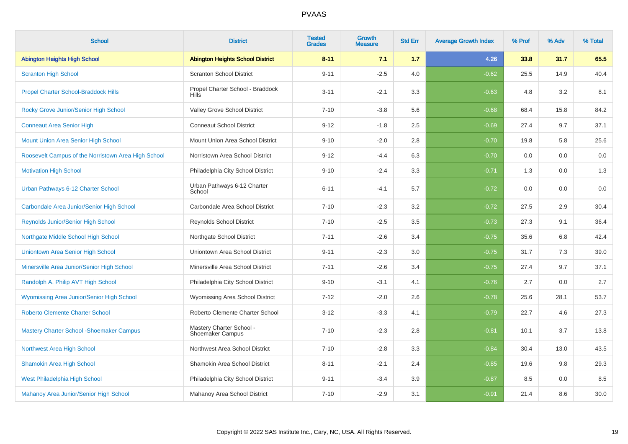| <b>School</b>                                       | <b>District</b>                                     | <b>Tested</b><br><b>Grades</b> | <b>Growth</b><br><b>Measure</b> | <b>Std Err</b> | <b>Average Growth Index</b> | % Prof | % Adv | % Total |
|-----------------------------------------------------|-----------------------------------------------------|--------------------------------|---------------------------------|----------------|-----------------------------|--------|-------|---------|
| <b>Abington Heights High School</b>                 | <b>Abington Heights School District</b>             | $8 - 11$                       | 7.1                             | 1.7            | 4.26                        | 33.8   | 31.7  | 65.5    |
| <b>Scranton High School</b>                         | <b>Scranton School District</b>                     | $9 - 11$                       | $-2.5$                          | 4.0            | $-0.62$                     | 25.5   | 14.9  | 40.4    |
| <b>Propel Charter School-Braddock Hills</b>         | Propel Charter School - Braddock<br><b>Hills</b>    | $3 - 11$                       | $-2.1$                          | 3.3            | $-0.63$                     | 4.8    | 3.2   | 8.1     |
| Rocky Grove Junior/Senior High School               | Valley Grove School District                        | $7 - 10$                       | $-3.8$                          | 5.6            | $-0.68$                     | 68.4   | 15.8  | 84.2    |
| <b>Conneaut Area Senior High</b>                    | <b>Conneaut School District</b>                     | $9 - 12$                       | $-1.8$                          | 2.5            | $-0.69$                     | 27.4   | 9.7   | 37.1    |
| Mount Union Area Senior High School                 | Mount Union Area School District                    | $9 - 10$                       | $-2.0$                          | 2.8            | $-0.70$                     | 19.8   | 5.8   | 25.6    |
| Roosevelt Campus of the Norristown Area High School | Norristown Area School District                     | $9 - 12$                       | $-4.4$                          | 6.3            | $-0.70$                     | 0.0    | 0.0   | 0.0     |
| <b>Motivation High School</b>                       | Philadelphia City School District                   | $9 - 10$                       | $-2.4$                          | 3.3            | $-0.71$                     | 1.3    | 0.0   | 1.3     |
| Urban Pathways 6-12 Charter School                  | Urban Pathways 6-12 Charter<br>School               | $6 - 11$                       | $-4.1$                          | 5.7            | $-0.72$                     | 0.0    | 0.0   | 0.0     |
| Carbondale Area Junior/Senior High School           | Carbondale Area School District                     | $7 - 10$                       | $-2.3$                          | 3.2            | $-0.72$                     | 27.5   | 2.9   | 30.4    |
| Reynolds Junior/Senior High School                  | Reynolds School District                            | $7 - 10$                       | $-2.5$                          | 3.5            | $-0.73$                     | 27.3   | 9.1   | 36.4    |
| Northgate Middle School High School                 | Northgate School District                           | $7 - 11$                       | $-2.6$                          | 3.4            | $-0.75$                     | 35.6   | 6.8   | 42.4    |
| Uniontown Area Senior High School                   | Uniontown Area School District                      | $9 - 11$                       | $-2.3$                          | 3.0            | $-0.75$                     | 31.7   | 7.3   | 39.0    |
| Minersville Area Junior/Senior High School          | Minersville Area School District                    | $7 - 11$                       | $-2.6$                          | 3.4            | $-0.75$                     | 27.4   | 9.7   | 37.1    |
| Randolph A. Philip AVT High School                  | Philadelphia City School District                   | $9 - 10$                       | $-3.1$                          | 4.1            | $-0.76$                     | 2.7    | 0.0   | 2.7     |
| Wyomissing Area Junior/Senior High School           | Wyomissing Area School District                     | $7 - 12$                       | $-2.0$                          | 2.6            | $-0.78$                     | 25.6   | 28.1  | 53.7    |
| <b>Roberto Clemente Charter School</b>              | Roberto Clemente Charter School                     | $3 - 12$                       | $-3.3$                          | 4.1            | $-0.79$                     | 22.7   | 4.6   | 27.3    |
| <b>Mastery Charter School - Shoemaker Campus</b>    | Mastery Charter School -<br><b>Shoemaker Campus</b> | $7 - 10$                       | $-2.3$                          | 2.8            | $-0.81$                     | 10.1   | 3.7   | 13.8    |
| Northwest Area High School                          | Northwest Area School District                      | $7 - 10$                       | $-2.8$                          | 3.3            | $-0.84$                     | 30.4   | 13.0  | 43.5    |
| <b>Shamokin Area High School</b>                    | Shamokin Area School District                       | $8 - 11$                       | $-2.1$                          | 2.4            | $-0.85$                     | 19.6   | 9.8   | 29.3    |
| West Philadelphia High School                       | Philadelphia City School District                   | $9 - 11$                       | $-3.4$                          | 3.9            | $-0.87$                     | 8.5    | 0.0   | 8.5     |
| Mahanoy Area Junior/Senior High School              | Mahanoy Area School District                        | $7 - 10$                       | $-2.9$                          | 3.1            | $-0.91$                     | 21.4   | 8.6   | 30.0    |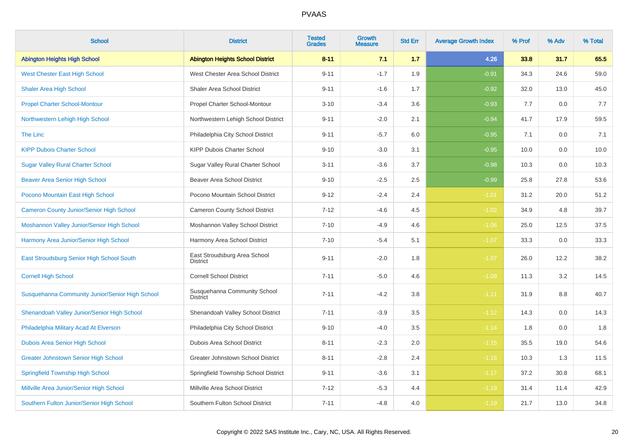| <b>School</b>                                   | <b>District</b>                                 | <b>Tested</b><br><b>Grades</b> | <b>Growth</b><br><b>Measure</b> | <b>Std Err</b> | <b>Average Growth Index</b> | % Prof | % Adv | % Total |
|-------------------------------------------------|-------------------------------------------------|--------------------------------|---------------------------------|----------------|-----------------------------|--------|-------|---------|
| <b>Abington Heights High School</b>             | <b>Abington Heights School District</b>         | $8 - 11$                       | 7.1                             | 1.7            | 4.26                        | 33.8   | 31.7  | 65.5    |
| <b>West Chester East High School</b>            | West Chester Area School District               | $9 - 11$                       | $-1.7$                          | 1.9            | $-0.91$                     | 34.3   | 24.6  | 59.0    |
| <b>Shaler Area High School</b>                  | Shaler Area School District                     | $9 - 11$                       | $-1.6$                          | 1.7            | $-0.92$                     | 32.0   | 13.0  | 45.0    |
| <b>Propel Charter School-Montour</b>            | Propel Charter School-Montour                   | $3 - 10$                       | $-3.4$                          | 3.6            | $-0.93$                     | 7.7    | 0.0   | 7.7     |
| Northwestern Lehigh High School                 | Northwestern Lehigh School District             | $9 - 11$                       | $-2.0$                          | 2.1            | $-0.94$                     | 41.7   | 17.9  | 59.5    |
| <b>The Linc</b>                                 | Philadelphia City School District               | $9 - 11$                       | $-5.7$                          | 6.0            | $-0.95$                     | 7.1    | 0.0   | 7.1     |
| <b>KIPP Dubois Charter School</b>               | KIPP Dubois Charter School                      | $9 - 10$                       | $-3.0$                          | 3.1            | $-0.95$                     | 10.0   | 0.0   | 10.0    |
| <b>Sugar Valley Rural Charter School</b>        | Sugar Valley Rural Charter School               | $3 - 11$                       | $-3.6$                          | 3.7            | $-0.98$                     | 10.3   | 0.0   | 10.3    |
| <b>Beaver Area Senior High School</b>           | <b>Beaver Area School District</b>              | $9 - 10$                       | $-2.5$                          | 2.5            | $-0.99$                     | 25.8   | 27.8  | 53.6    |
| Pocono Mountain East High School                | Pocono Mountain School District                 | $9 - 12$                       | $-2.4$                          | 2.4            | $-1.01$                     | 31.2   | 20.0  | 51.2    |
| <b>Cameron County Junior/Senior High School</b> | Cameron County School District                  | $7 - 12$                       | $-4.6$                          | 4.5            | $-1.02$                     | 34.9   | 4.8   | 39.7    |
| Moshannon Valley Junior/Senior High School      | Moshannon Valley School District                | $7 - 10$                       | $-4.9$                          | 4.6            | $-1.06$                     | 25.0   | 12.5  | 37.5    |
| Harmony Area Junior/Senior High School          | Harmony Area School District                    | $7 - 10$                       | $-5.4$                          | 5.1            | $-1.07$                     | 33.3   | 0.0   | 33.3    |
| East Stroudsburg Senior High School South       | East Stroudsburg Area School<br><b>District</b> | $9 - 11$                       | $-2.0$                          | 1.8            | $-1.07$                     | 26.0   | 12.2  | 38.2    |
| <b>Cornell High School</b>                      | <b>Cornell School District</b>                  | $7 - 11$                       | $-5.0$                          | 4.6            | $-1.09$                     | 11.3   | 3.2   | 14.5    |
| Susquehanna Community Junior/Senior High School | Susquehanna Community School<br><b>District</b> | $7 - 11$                       | $-4.2$                          | 3.8            | $-1.11$                     | 31.9   | 8.8   | 40.7    |
| Shenandoah Valley Junior/Senior High School     | Shenandoah Valley School District               | $7 - 11$                       | $-3.9$                          | 3.5            | $-1.12$                     | 14.3   | 0.0   | 14.3    |
| Philadelphia Military Acad At Elverson          | Philadelphia City School District               | $9 - 10$                       | $-4.0$                          | 3.5            | $-1.14$                     | 1.8    | 0.0   | 1.8     |
| Dubois Area Senior High School                  | Dubois Area School District                     | $8 - 11$                       | $-2.3$                          | 2.0            | $-1.15$                     | 35.5   | 19.0  | 54.6    |
| <b>Greater Johnstown Senior High School</b>     | Greater Johnstown School District               | $8 - 11$                       | $-2.8$                          | 2.4            | $-1.16$                     | 10.3   | 1.3   | 11.5    |
| <b>Springfield Township High School</b>         | Springfield Township School District            | $9 - 11$                       | $-3.6$                          | 3.1            | $-1.17$                     | 37.2   | 30.8  | 68.1    |
| Millville Area Junior/Senior High School        | Millville Area School District                  | $7 - 12$                       | $-5.3$                          | 4.4            | $-1.19$                     | 31.4   | 11.4  | 42.9    |
| Southern Fulton Junior/Senior High School       | Southern Fulton School District                 | $7 - 11$                       | $-4.8$                          | 4.0            | $-1.19$                     | 21.7   | 13.0  | 34.8    |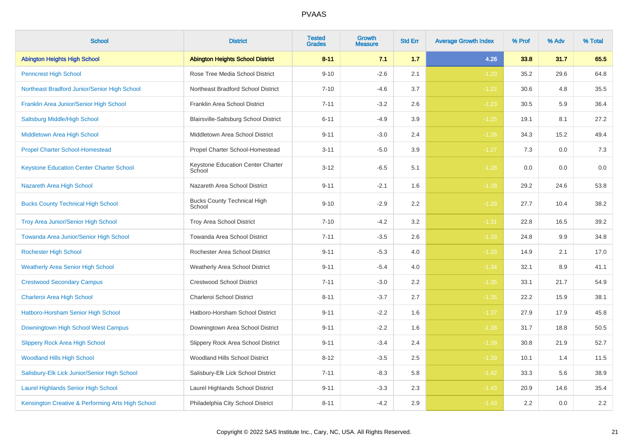| <b>School</b>                                     | <b>District</b>                              | <b>Tested</b><br><b>Grades</b> | Growth<br><b>Measure</b> | <b>Std Err</b> | <b>Average Growth Index</b> | % Prof | % Adv | % Total |
|---------------------------------------------------|----------------------------------------------|--------------------------------|--------------------------|----------------|-----------------------------|--------|-------|---------|
| <b>Abington Heights High School</b>               | <b>Abington Heights School District</b>      | $8 - 11$                       | 7.1                      | 1.7            | 4.26                        | 33.8   | 31.7  | 65.5    |
| <b>Penncrest High School</b>                      | Rose Tree Media School District              | $9 - 10$                       | $-2.6$                   | 2.1            | $-1.20$                     | 35.2   | 29.6  | 64.8    |
| Northeast Bradford Junior/Senior High School      | Northeast Bradford School District           | $7 - 10$                       | $-4.6$                   | 3.7            | $-1.22$                     | 30.6   | 4.8   | 35.5    |
| Franklin Area Junior/Senior High School           | Franklin Area School District                | $7 - 11$                       | $-3.2$                   | 2.6            | $-1.23$                     | 30.5   | 5.9   | 36.4    |
| Saltsburg Middle/High School                      | Blairsville-Saltsburg School District        | $6 - 11$                       | $-4.9$                   | 3.9            | $-1.25$                     | 19.1   | 8.1   | 27.2    |
| Middletown Area High School                       | Middletown Area School District              | $9 - 11$                       | $-3.0$                   | 2.4            | $-1.26$                     | 34.3   | 15.2  | 49.4    |
| <b>Propel Charter School-Homestead</b>            | Propel Charter School-Homestead              | $3 - 11$                       | $-5.0$                   | 3.9            | $-1.27$                     | 7.3    | 0.0   | $7.3$   |
| <b>Keystone Education Center Charter School</b>   | Keystone Education Center Charter<br>School  | $3 - 12$                       | $-6.5$                   | 5.1            | $-1.28$                     | 0.0    | 0.0   | 0.0     |
| Nazareth Area High School                         | Nazareth Area School District                | $9 - 11$                       | $-2.1$                   | 1.6            | $-1.28$                     | 29.2   | 24.6  | 53.8    |
| <b>Bucks County Technical High School</b>         | <b>Bucks County Technical High</b><br>School | $9 - 10$                       | $-2.9$                   | 2.2            | $-1.29$                     | 27.7   | 10.4  | 38.2    |
| <b>Troy Area Junior/Senior High School</b>        | Troy Area School District                    | $7 - 10$                       | $-4.2$                   | 3.2            | $-1.31$                     | 22.8   | 16.5  | 39.2    |
| Towanda Area Junior/Senior High School            | Towanda Area School District                 | $7 - 11$                       | $-3.5$                   | 2.6            | $-1.33$                     | 24.8   | 9.9   | 34.8    |
| <b>Rochester High School</b>                      | Rochester Area School District               | $9 - 11$                       | $-5.3$                   | 4.0            | $-1.33$                     | 14.9   | 2.1   | 17.0    |
| <b>Weatherly Area Senior High School</b>          | <b>Weatherly Area School District</b>        | $9 - 11$                       | $-5.4$                   | 4.0            | $-1.34$                     | 32.1   | 8.9   | 41.1    |
| <b>Crestwood Secondary Campus</b>                 | <b>Crestwood School District</b>             | $7 - 11$                       | $-3.0$                   | 2.2            | $-1.35$                     | 33.1   | 21.7  | 54.9    |
| Charleroi Area High School                        | Charleroi School District                    | $8 - 11$                       | $-3.7$                   | 2.7            | $-1.35$                     | 22.2   | 15.9  | 38.1    |
| Hatboro-Horsham Senior High School                | Hatboro-Horsham School District              | $9 - 11$                       | $-2.2$                   | 1.6            | $-1.37$                     | 27.9   | 17.9  | 45.8    |
| Downingtown High School West Campus               | Downingtown Area School District             | $9 - 11$                       | $-2.2$                   | 1.6            | $-1.38$                     | 31.7   | 18.8  | 50.5    |
| <b>Slippery Rock Area High School</b>             | Slippery Rock Area School District           | $9 - 11$                       | $-3.4$                   | 2.4            | $-1.39$                     | 30.8   | 21.9  | 52.7    |
| <b>Woodland Hills High School</b>                 | Woodland Hills School District               | $8 - 12$                       | $-3.5$                   | 2.5            | $-1.39$                     | 10.1   | 1.4   | 11.5    |
| Salisbury-Elk Lick Junior/Senior High School      | Salisbury-Elk Lick School District           | $7 - 11$                       | $-8.3$                   | 5.8            | $-1.42$                     | 33.3   | 5.6   | 38.9    |
| <b>Laurel Highlands Senior High School</b>        | Laurel Highlands School District             | $9 - 11$                       | $-3.3$                   | 2.3            | $-1.43$                     | 20.9   | 14.6  | 35.4    |
| Kensington Creative & Performing Arts High School | Philadelphia City School District            | $8 - 11$                       | $-4.2$                   | 2.9            | $-1.43$                     | 2.2    | 0.0   | $2.2\,$ |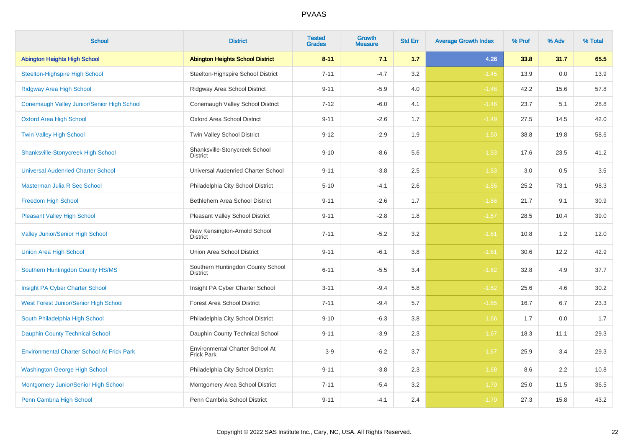| <b>School</b>                                     | <b>District</b>                                      | <b>Tested</b><br><b>Grades</b> | <b>Growth</b><br><b>Measure</b> | <b>Std Err</b> | <b>Average Growth Index</b> | % Prof | % Adv | % Total |
|---------------------------------------------------|------------------------------------------------------|--------------------------------|---------------------------------|----------------|-----------------------------|--------|-------|---------|
| <b>Abington Heights High School</b>               | <b>Abington Heights School District</b>              | $8 - 11$                       | 7.1                             | 1.7            | 4.26                        | 33.8   | 31.7  | 65.5    |
| <b>Steelton-Highspire High School</b>             | Steelton-Highspire School District                   | $7 - 11$                       | $-4.7$                          | 3.2            | $-1.45$                     | 13.9   | 0.0   | 13.9    |
| <b>Ridgway Area High School</b>                   | Ridgway Area School District                         | $9 - 11$                       | $-5.9$                          | 4.0            | $-1.46$                     | 42.2   | 15.6  | 57.8    |
| Conemaugh Valley Junior/Senior High School        | Conemaugh Valley School District                     | $7 - 12$                       | $-6.0$                          | 4.1            | $-1.46$                     | 23.7   | 5.1   | 28.8    |
| <b>Oxford Area High School</b>                    | <b>Oxford Area School District</b>                   | $9 - 11$                       | $-2.6$                          | 1.7            | $-1.49$                     | 27.5   | 14.5  | 42.0    |
| <b>Twin Valley High School</b>                    | Twin Valley School District                          | $9 - 12$                       | $-2.9$                          | 1.9            | $-1.50$                     | 38.8   | 19.8  | 58.6    |
| <b>Shanksville-Stonycreek High School</b>         | Shanksville-Stonycreek School<br><b>District</b>     | $9 - 10$                       | $-8.6$                          | 5.6            | $-1.53$                     | 17.6   | 23.5  | 41.2    |
| <b>Universal Audenried Charter School</b>         | Universal Audenried Charter School                   | $9 - 11$                       | $-3.8$                          | 2.5            | $-1.53$                     | 3.0    | 0.5   | 3.5     |
| Masterman Julia R Sec School                      | Philadelphia City School District                    | $5 - 10$                       | $-4.1$                          | 2.6            | $-1.55$                     | 25.2   | 73.1  | 98.3    |
| Freedom High School                               | Bethlehem Area School District                       | $9 - 11$                       | $-2.6$                          | 1.7            | $-1.56$                     | 21.7   | 9.1   | 30.9    |
| <b>Pleasant Valley High School</b>                | <b>Pleasant Valley School District</b>               | $9 - 11$                       | $-2.8$                          | 1.8            | $-1.57$                     | 28.5   | 10.4  | 39.0    |
| <b>Valley Junior/Senior High School</b>           | New Kensington-Arnold School<br><b>District</b>      | $7 - 11$                       | $-5.2$                          | 3.2            | $-1.61$                     | 10.8   | 1.2   | 12.0    |
| <b>Union Area High School</b>                     | Union Area School District                           | $9 - 11$                       | $-6.1$                          | 3.8            | $-1.61$                     | 30.6   | 12.2  | 42.9    |
| Southern Huntingdon County HS/MS                  | Southern Huntingdon County School<br><b>District</b> | $6 - 11$                       | $-5.5$                          | 3.4            | $-1.62$                     | 32.8   | 4.9   | 37.7    |
| Insight PA Cyber Charter School                   | Insight PA Cyber Charter School                      | $3 - 11$                       | $-9.4$                          | 5.8            | $-1.62$                     | 25.6   | 4.6   | 30.2    |
| West Forest Junior/Senior High School             | <b>Forest Area School District</b>                   | $7 - 11$                       | $-9.4$                          | 5.7            | $-1.65$                     | 16.7   | 6.7   | 23.3    |
| South Philadelphia High School                    | Philadelphia City School District                    | $9 - 10$                       | $-6.3$                          | 3.8            | $-1.66$                     | 1.7    | 0.0   | 1.7     |
| <b>Dauphin County Technical School</b>            | Dauphin County Technical School                      | $9 - 11$                       | $-3.9$                          | 2.3            | $-1.67$                     | 18.3   | 11.1  | 29.3    |
| <b>Environmental Charter School At Frick Park</b> | Environmental Charter School At<br><b>Frick Park</b> | $3-9$                          | $-6.2$                          | 3.7            | $-1.67$                     | 25.9   | 3.4   | 29.3    |
| <b>Washington George High School</b>              | Philadelphia City School District                    | $9 - 11$                       | $-3.8$                          | 2.3            | $-1.68$                     | 8.6    | 2.2   | 10.8    |
| Montgomery Junior/Senior High School              | Montgomery Area School District                      | $7 - 11$                       | $-5.4$                          | $3.2\,$        | $-1.70$                     | 25.0   | 11.5  | 36.5    |
| Penn Cambria High School                          | Penn Cambria School District                         | $9 - 11$                       | $-4.1$                          | 2.4            | $-1.70$                     | 27.3   | 15.8  | 43.2    |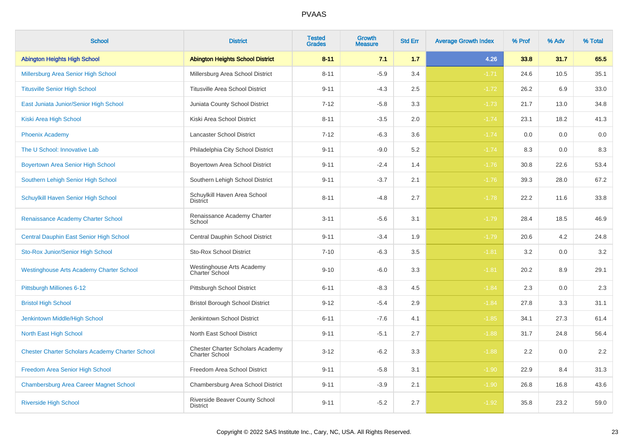| <b>School</b>                                          | <b>District</b>                                                  | <b>Tested</b><br><b>Grades</b> | Growth<br><b>Measure</b> | <b>Std Err</b> | <b>Average Growth Index</b> | % Prof | % Adv | % Total |
|--------------------------------------------------------|------------------------------------------------------------------|--------------------------------|--------------------------|----------------|-----------------------------|--------|-------|---------|
| <b>Abington Heights High School</b>                    | <b>Abington Heights School District</b>                          | $8 - 11$                       | 7.1                      | 1.7            | 4.26                        | 33.8   | 31.7  | 65.5    |
| Millersburg Area Senior High School                    | Millersburg Area School District                                 | $8 - 11$                       | $-5.9$                   | 3.4            | $-1.71$                     | 24.6   | 10.5  | 35.1    |
| <b>Titusville Senior High School</b>                   | <b>Titusville Area School District</b>                           | $9 - 11$                       | $-4.3$                   | 2.5            | $-1.72$                     | 26.2   | 6.9   | 33.0    |
| East Juniata Junior/Senior High School                 | Juniata County School District                                   | $7 - 12$                       | $-5.8$                   | 3.3            | $-1.73$                     | 21.7   | 13.0  | 34.8    |
| Kiski Area High School                                 | Kiski Area School District                                       | $8 - 11$                       | $-3.5$                   | 2.0            | $-1.74$                     | 23.1   | 18.2  | 41.3    |
| <b>Phoenix Academy</b>                                 | Lancaster School District                                        | $7 - 12$                       | $-6.3$                   | 3.6            | $-1.74$                     | 0.0    | 0.0   | 0.0     |
| The U School: Innovative Lab                           | Philadelphia City School District                                | $9 - 11$                       | $-9.0$                   | 5.2            | $-1.74$                     | 8.3    | 0.0   | 8.3     |
| <b>Boyertown Area Senior High School</b>               | Boyertown Area School District                                   | $9 - 11$                       | $-2.4$                   | 1.4            | $-1.76$                     | 30.8   | 22.6  | 53.4    |
| Southern Lehigh Senior High School                     | Southern Lehigh School District                                  | $9 - 11$                       | $-3.7$                   | 2.1            | $-1.76$                     | 39.3   | 28.0  | 67.2    |
| Schuylkill Haven Senior High School                    | Schuylkill Haven Area School<br><b>District</b>                  | $8 - 11$                       | $-4.8$                   | 2.7            | $-1.78$                     | 22.2   | 11.6  | 33.8    |
| Renaissance Academy Charter School                     | Renaissance Academy Charter<br>School                            | $3 - 11$                       | $-5.6$                   | 3.1            | $-1.79$                     | 28.4   | 18.5  | 46.9    |
| Central Dauphin East Senior High School                | Central Dauphin School District                                  | $9 - 11$                       | $-3.4$                   | 1.9            | $-1.79$                     | 20.6   | 4.2   | 24.8    |
| Sto-Rox Junior/Senior High School                      | <b>Sto-Rox School District</b>                                   | $7 - 10$                       | $-6.3$                   | 3.5            | $-1.81$                     | 3.2    | 0.0   | 3.2     |
| <b>Westinghouse Arts Academy Charter School</b>        | Westinghouse Arts Academy<br>Charter School                      | $9 - 10$                       | $-6.0$                   | 3.3            | $-1.81$                     | 20.2   | 8.9   | 29.1    |
| Pittsburgh Milliones 6-12                              | Pittsburgh School District                                       | $6 - 11$                       | $-8.3$                   | 4.5            | $-1.84$                     | 2.3    | 0.0   | $2.3\,$ |
| <b>Bristol High School</b>                             | <b>Bristol Borough School District</b>                           | $9 - 12$                       | $-5.4$                   | 2.9            | $-1.84$                     | 27.8   | 3.3   | 31.1    |
| Jenkintown Middle/High School                          | Jenkintown School District                                       | $6 - 11$                       | $-7.6$                   | 4.1            | $-1.85$                     | 34.1   | 27.3  | 61.4    |
| North East High School                                 | North East School District                                       | $9 - 11$                       | $-5.1$                   | 2.7            | $-1.88$                     | 31.7   | 24.8  | 56.4    |
| <b>Chester Charter Scholars Academy Charter School</b> | <b>Chester Charter Scholars Academy</b><br><b>Charter School</b> | $3 - 12$                       | $-6.2$                   | 3.3            | $-1.88$                     | 2.2    | 0.0   | 2.2     |
| Freedom Area Senior High School                        | Freedom Area School District                                     | $9 - 11$                       | $-5.8$                   | 3.1            | $-1.90$                     | 22.9   | 8.4   | 31.3    |
| <b>Chambersburg Area Career Magnet School</b>          | Chambersburg Area School District                                | $9 - 11$                       | $-3.9$                   | 2.1            | $-1.90$                     | 26.8   | 16.8  | 43.6    |
| <b>Riverside High School</b>                           | Riverside Beaver County School<br><b>District</b>                | $9 - 11$                       | $-5.2$                   | 2.7            | $-1.92$                     | 35.8   | 23.2  | 59.0    |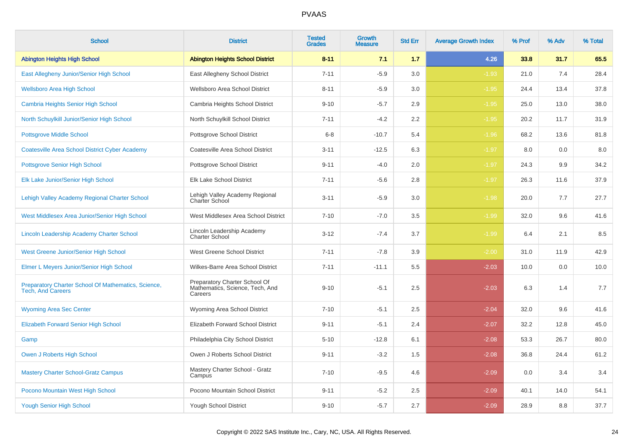| <b>School</b>                                                                   | <b>District</b>                                                             | <b>Tested</b><br><b>Grades</b> | <b>Growth</b><br><b>Measure</b> | <b>Std Err</b> | <b>Average Growth Index</b> | % Prof | % Adv | % Total |
|---------------------------------------------------------------------------------|-----------------------------------------------------------------------------|--------------------------------|---------------------------------|----------------|-----------------------------|--------|-------|---------|
| <b>Abington Heights High School</b>                                             | <b>Abington Heights School District</b>                                     | $8 - 11$                       | 7.1                             | 1.7            | 4.26                        | 33.8   | 31.7  | 65.5    |
| East Allegheny Junior/Senior High School                                        | East Allegheny School District                                              | $7 - 11$                       | $-5.9$                          | 3.0            | $-1.93$                     | 21.0   | 7.4   | 28.4    |
| <b>Wellsboro Area High School</b>                                               | Wellsboro Area School District                                              | $8 - 11$                       | $-5.9$                          | 3.0            | $-1.95$                     | 24.4   | 13.4  | 37.8    |
| <b>Cambria Heights Senior High School</b>                                       | Cambria Heights School District                                             | $9 - 10$                       | $-5.7$                          | 2.9            | $-1.95$                     | 25.0   | 13.0  | 38.0    |
| North Schuylkill Junior/Senior High School                                      | North Schuylkill School District                                            | $7 - 11$                       | $-4.2$                          | 2.2            | $-1.95$                     | 20.2   | 11.7  | 31.9    |
| <b>Pottsgrove Middle School</b>                                                 | Pottsgrove School District                                                  | $6 - 8$                        | $-10.7$                         | 5.4            | $-1.96$                     | 68.2   | 13.6  | 81.8    |
| <b>Coatesville Area School District Cyber Academy</b>                           | Coatesville Area School District                                            | $3 - 11$                       | $-12.5$                         | 6.3            | $-1.97$                     | 8.0    | 0.0   | 8.0     |
| <b>Pottsgrove Senior High School</b>                                            | Pottsgrove School District                                                  | $9 - 11$                       | $-4.0$                          | 2.0            | $-1.97$                     | 24.3   | 9.9   | 34.2    |
| Elk Lake Junior/Senior High School                                              | Elk Lake School District                                                    | $7 - 11$                       | $-5.6$                          | 2.8            | $-1.97$                     | 26.3   | 11.6  | 37.9    |
| Lehigh Valley Academy Regional Charter School                                   | Lehigh Valley Academy Regional<br>Charter School                            | $3 - 11$                       | $-5.9$                          | 3.0            | $-1.98$                     | 20.0   | 7.7   | 27.7    |
| West Middlesex Area Junior/Senior High School                                   | West Middlesex Area School District                                         | $7 - 10$                       | $-7.0$                          | 3.5            | $-1.99$                     | 32.0   | 9.6   | 41.6    |
| Lincoln Leadership Academy Charter School                                       | Lincoln Leadership Academy<br><b>Charter School</b>                         | $3 - 12$                       | $-7.4$                          | 3.7            | $-1.99$                     | 6.4    | 2.1   | 8.5     |
| <b>West Greene Junior/Senior High School</b>                                    | West Greene School District                                                 | $7 - 11$                       | $-7.8$                          | 3.9            | $-2.00$                     | 31.0   | 11.9  | 42.9    |
| Elmer L Meyers Junior/Senior High School                                        | Wilkes-Barre Area School District                                           | $7 - 11$                       | $-11.1$                         | 5.5            | $-2.03$                     | 10.0   | 0.0   | 10.0    |
| Preparatory Charter School Of Mathematics, Science,<br><b>Tech, And Careers</b> | Preparatory Charter School Of<br>Mathematics, Science, Tech, And<br>Careers | $9 - 10$                       | $-5.1$                          | 2.5            | $-2.03$                     | 6.3    | 1.4   | 7.7     |
| <b>Wyoming Area Sec Center</b>                                                  | Wyoming Area School District                                                | $7 - 10$                       | $-5.1$                          | 2.5            | $-2.04$                     | 32.0   | 9.6   | 41.6    |
| <b>Elizabeth Forward Senior High School</b>                                     | Elizabeth Forward School District                                           | $9 - 11$                       | $-5.1$                          | 2.4            | $-2.07$                     | 32.2   | 12.8  | 45.0    |
| Gamp                                                                            | Philadelphia City School District                                           | $5 - 10$                       | $-12.8$                         | 6.1            | $-2.08$                     | 53.3   | 26.7  | 80.0    |
| Owen J Roberts High School                                                      | Owen J Roberts School District                                              | $9 - 11$                       | $-3.2$                          | 1.5            | $-2.08$                     | 36.8   | 24.4  | 61.2    |
| <b>Mastery Charter School-Gratz Campus</b>                                      | Mastery Charter School - Gratz<br>Campus                                    | $7 - 10$                       | $-9.5$                          | 4.6            | $-2.09$                     | 0.0    | 3.4   | 3.4     |
| Pocono Mountain West High School                                                | Pocono Mountain School District                                             | $9 - 11$                       | $-5.2$                          | 2.5            | $-2.09$                     | 40.1   | 14.0  | 54.1    |
| <b>Yough Senior High School</b>                                                 | Yough School District                                                       | $9 - 10$                       | $-5.7$                          | 2.7            | $-2.09$                     | 28.9   | 8.8   | 37.7    |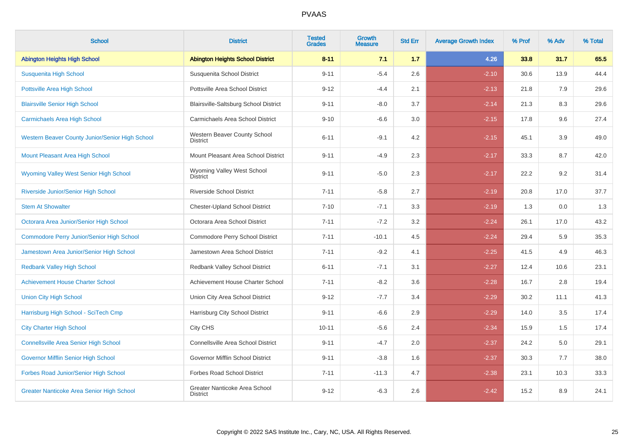| <b>School</b>                                    | <b>District</b>                                  | <b>Tested</b><br><b>Grades</b> | <b>Growth</b><br><b>Measure</b> | <b>Std Err</b> | <b>Average Growth Index</b> | % Prof | % Adv | % Total |
|--------------------------------------------------|--------------------------------------------------|--------------------------------|---------------------------------|----------------|-----------------------------|--------|-------|---------|
| <b>Abington Heights High School</b>              | <b>Abington Heights School District</b>          | $8 - 11$                       | 7.1                             | 1.7            | 4.26                        | 33.8   | 31.7  | 65.5    |
| Susquenita High School                           | Susquenita School District                       | $9 - 11$                       | $-5.4$                          | 2.6            | $-2.10$                     | 30.6   | 13.9  | 44.4    |
| <b>Pottsville Area High School</b>               | Pottsville Area School District                  | $9 - 12$                       | $-4.4$                          | 2.1            | $-2.13$                     | 21.8   | 7.9   | 29.6    |
| <b>Blairsville Senior High School</b>            | Blairsville-Saltsburg School District            | $9 - 11$                       | $-8.0$                          | 3.7            | $-2.14$                     | 21.3   | 8.3   | 29.6    |
| <b>Carmichaels Area High School</b>              | Carmichaels Area School District                 | $9 - 10$                       | $-6.6$                          | 3.0            | $-2.15$                     | 17.8   | 9.6   | 27.4    |
| Western Beaver County Junior/Senior High School  | Western Beaver County School<br><b>District</b>  | $6 - 11$                       | $-9.1$                          | 4.2            | $-2.15$                     | 45.1   | 3.9   | 49.0    |
| Mount Pleasant Area High School                  | Mount Pleasant Area School District              | $9 - 11$                       | $-4.9$                          | 2.3            | $-2.17$                     | 33.3   | 8.7   | 42.0    |
| <b>Wyoming Valley West Senior High School</b>    | Wyoming Valley West School<br><b>District</b>    | $9 - 11$                       | $-5.0$                          | 2.3            | $-2.17$                     | 22.2   | 9.2   | 31.4    |
| Riverside Junior/Senior High School              | <b>Riverside School District</b>                 | $7 - 11$                       | $-5.8$                          | 2.7            | $-2.19$                     | 20.8   | 17.0  | 37.7    |
| <b>Stem At Showalter</b>                         | <b>Chester-Upland School District</b>            | $7 - 10$                       | $-7.1$                          | 3.3            | $-2.19$                     | 1.3    | 0.0   | 1.3     |
| Octorara Area Junior/Senior High School          | Octorara Area School District                    | $7 - 11$                       | $-7.2$                          | $3.2\,$        | $-2.24$                     | 26.1   | 17.0  | 43.2    |
| <b>Commodore Perry Junior/Senior High School</b> | Commodore Perry School District                  | $7 - 11$                       | $-10.1$                         | 4.5            | $-2.24$                     | 29.4   | 5.9   | 35.3    |
| Jamestown Area Junior/Senior High School         | Jamestown Area School District                   | $7 - 11$                       | $-9.2$                          | 4.1            | $-2.25$                     | 41.5   | 4.9   | 46.3    |
| <b>Redbank Valley High School</b>                | Redbank Valley School District                   | $6 - 11$                       | $-7.1$                          | 3.1            | $-2.27$                     | 12.4   | 10.6  | 23.1    |
| <b>Achievement House Charter School</b>          | Achievement House Charter School                 | $7 - 11$                       | $-8.2$                          | 3.6            | $-2.28$                     | 16.7   | 2.8   | 19.4    |
| <b>Union City High School</b>                    | Union City Area School District                  | $9 - 12$                       | $-7.7$                          | 3.4            | $-2.29$                     | 30.2   | 11.1  | 41.3    |
| Harrisburg High School - SciTech Cmp             | Harrisburg City School District                  | $9 - 11$                       | $-6.6$                          | 2.9            | $-2.29$                     | 14.0   | 3.5   | 17.4    |
| <b>City Charter High School</b>                  | City CHS                                         | $10 - 11$                      | $-5.6$                          | 2.4            | $-2.34$                     | 15.9   | 1.5   | 17.4    |
| <b>Connellsville Area Senior High School</b>     | Connellsville Area School District               | $9 - 11$                       | $-4.7$                          | 2.0            | $-2.37$                     | 24.2   | 5.0   | 29.1    |
| Governor Mifflin Senior High School              | Governor Mifflin School District                 | $9 - 11$                       | $-3.8$                          | 1.6            | $-2.37$                     | 30.3   | 7.7   | 38.0    |
| Forbes Road Junior/Senior High School            | <b>Forbes Road School District</b>               | $7 - 11$                       | $-11.3$                         | 4.7            | $-2.38$                     | 23.1   | 10.3  | 33.3    |
| <b>Greater Nanticoke Area Senior High School</b> | Greater Nanticoke Area School<br><b>District</b> | $9 - 12$                       | $-6.3$                          | 2.6            | $-2.42$                     | 15.2   | 8.9   | 24.1    |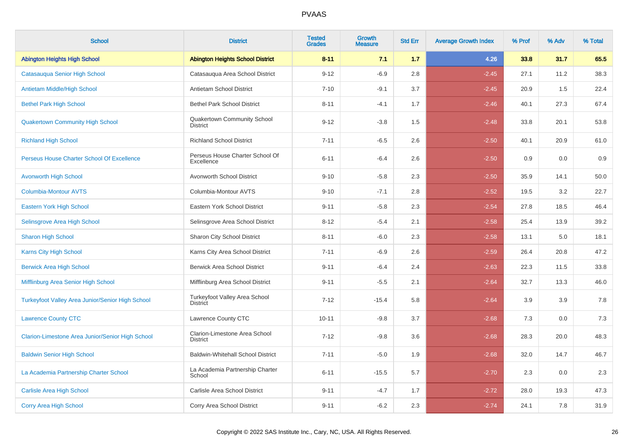| <b>School</b>                                           | <b>District</b>                                       | <b>Tested</b><br><b>Grades</b> | <b>Growth</b><br><b>Measure</b> | <b>Std Err</b> | <b>Average Growth Index</b> | % Prof | % Adv | % Total |
|---------------------------------------------------------|-------------------------------------------------------|--------------------------------|---------------------------------|----------------|-----------------------------|--------|-------|---------|
| <b>Abington Heights High School</b>                     | <b>Abington Heights School District</b>               | $8 - 11$                       | 7.1                             | 1.7            | 4.26                        | 33.8   | 31.7  | 65.5    |
| Catasauqua Senior High School                           | Catasauqua Area School District                       | $9 - 12$                       | $-6.9$                          | 2.8            | $-2.45$                     | 27.1   | 11.2  | 38.3    |
| Antietam Middle/High School                             | Antietam School District                              | $7 - 10$                       | $-9.1$                          | 3.7            | $-2.45$                     | 20.9   | 1.5   | 22.4    |
| <b>Bethel Park High School</b>                          | <b>Bethel Park School District</b>                    | $8 - 11$                       | $-4.1$                          | 1.7            | $-2.46$                     | 40.1   | 27.3  | 67.4    |
| <b>Quakertown Community High School</b>                 | <b>Quakertown Community School</b><br><b>District</b> | $9 - 12$                       | $-3.8$                          | 1.5            | $-2.48$                     | 33.8   | 20.1  | 53.8    |
| <b>Richland High School</b>                             | <b>Richland School District</b>                       | $7 - 11$                       | $-6.5$                          | 2.6            | $-2.50$                     | 40.1   | 20.9  | 61.0    |
| Perseus House Charter School Of Excellence              | Perseus House Charter School Of<br>Excellence         | $6 - 11$                       | $-6.4$                          | 2.6            | $-2.50$                     | 0.9    | 0.0   | 0.9     |
| <b>Avonworth High School</b>                            | Avonworth School District                             | $9 - 10$                       | $-5.8$                          | 2.3            | $-2.50$                     | 35.9   | 14.1  | 50.0    |
| <b>Columbia-Montour AVTS</b>                            | Columbia-Montour AVTS                                 | $9 - 10$                       | $-7.1$                          | 2.8            | $-2.52$                     | 19.5   | 3.2   | 22.7    |
| Eastern York High School                                | Eastern York School District                          | $9 - 11$                       | $-5.8$                          | 2.3            | $-2.54$                     | 27.8   | 18.5  | 46.4    |
| Selinsgrove Area High School                            | Selinsgrove Area School District                      | $8 - 12$                       | $-5.4$                          | 2.1            | $-2.58$                     | 25.4   | 13.9  | 39.2    |
| <b>Sharon High School</b>                               | Sharon City School District                           | $8 - 11$                       | $-6.0$                          | 2.3            | $-2.58$                     | 13.1   | 5.0   | 18.1    |
| <b>Karns City High School</b>                           | Karns City Area School District                       | $7 - 11$                       | $-6.9$                          | 2.6            | $-2.59$                     | 26.4   | 20.8  | 47.2    |
| <b>Berwick Area High School</b>                         | <b>Berwick Area School District</b>                   | $9 - 11$                       | $-6.4$                          | 2.4            | $-2.63$                     | 22.3   | 11.5  | 33.8    |
| Mifflinburg Area Senior High School                     | Mifflinburg Area School District                      | $9 - 11$                       | $-5.5$                          | 2.1            | $-2.64$                     | 32.7   | 13.3  | 46.0    |
| <b>Turkeyfoot Valley Area Junior/Senior High School</b> | Turkeyfoot Valley Area School<br><b>District</b>      | $7 - 12$                       | $-15.4$                         | 5.8            | $-2.64$                     | 3.9    | 3.9   | 7.8     |
| <b>Lawrence County CTC</b>                              | Lawrence County CTC                                   | $10 - 11$                      | $-9.8$                          | 3.7            | $-2.68$                     | 7.3    | 0.0   | $7.3$   |
| Clarion-Limestone Area Junior/Senior High School        | Clarion-Limestone Area School<br><b>District</b>      | $7 - 12$                       | $-9.8$                          | 3.6            | $-2.68$                     | 28.3   | 20.0  | 48.3    |
| <b>Baldwin Senior High School</b>                       | <b>Baldwin-Whitehall School District</b>              | $7 - 11$                       | $-5.0$                          | 1.9            | $-2.68$                     | 32.0   | 14.7  | 46.7    |
| La Academia Partnership Charter School                  | La Academia Partnership Charter<br>School             | $6 - 11$                       | $-15.5$                         | 5.7            | $-2.70$                     | 2.3    | 0.0   | 2.3     |
| <b>Carlisle Area High School</b>                        | Carlisle Area School District                         | $9 - 11$                       | $-4.7$                          | 1.7            | $-2.72$                     | 28.0   | 19.3  | 47.3    |
| <b>Corry Area High School</b>                           | Corry Area School District                            | $9 - 11$                       | $-6.2$                          | 2.3            | $-2.74$                     | 24.1   | 7.8   | 31.9    |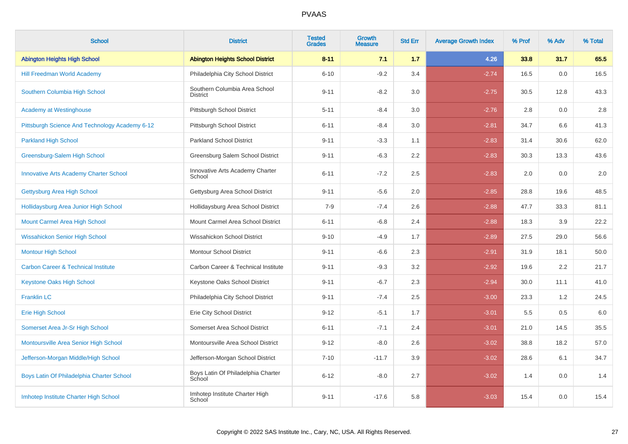| <b>School</b>                                  | <b>District</b>                                  | <b>Tested</b><br><b>Grades</b> | <b>Growth</b><br><b>Measure</b> | <b>Std Err</b> | <b>Average Growth Index</b> | % Prof | % Adv | % Total |
|------------------------------------------------|--------------------------------------------------|--------------------------------|---------------------------------|----------------|-----------------------------|--------|-------|---------|
| <b>Abington Heights High School</b>            | <b>Abington Heights School District</b>          | $8 - 11$                       | 7.1                             | 1.7            | 4.26                        | 33.8   | 31.7  | 65.5    |
| <b>Hill Freedman World Academy</b>             | Philadelphia City School District                | $6 - 10$                       | $-9.2$                          | 3.4            | $-2.74$                     | 16.5   | 0.0   | 16.5    |
| Southern Columbia High School                  | Southern Columbia Area School<br><b>District</b> | $9 - 11$                       | $-8.2$                          | 3.0            | $-2.75$                     | 30.5   | 12.8  | 43.3    |
| <b>Academy at Westinghouse</b>                 | Pittsburgh School District                       | $5 - 11$                       | $-8.4$                          | 3.0            | $-2.76$                     | 2.8    | 0.0   | 2.8     |
| Pittsburgh Science And Technology Academy 6-12 | Pittsburgh School District                       | $6 - 11$                       | $-8.4$                          | 3.0            | $-2.81$                     | 34.7   | 6.6   | 41.3    |
| <b>Parkland High School</b>                    | <b>Parkland School District</b>                  | $9 - 11$                       | $-3.3$                          | 1.1            | $-2.83$                     | 31.4   | 30.6  | 62.0    |
| Greensburg-Salem High School                   | Greensburg Salem School District                 | $9 - 11$                       | $-6.3$                          | 2.2            | $-2.83$                     | 30.3   | 13.3  | 43.6    |
| <b>Innovative Arts Academy Charter School</b>  | Innovative Arts Academy Charter<br>School        | $6 - 11$                       | $-7.2$                          | 2.5            | $-2.83$                     | 2.0    | 0.0   | 2.0     |
| Gettysburg Area High School                    | Gettysburg Area School District                  | $9 - 11$                       | $-5.6$                          | 2.0            | $-2.85$                     | 28.8   | 19.6  | 48.5    |
| Hollidaysburg Area Junior High School          | Hollidaysburg Area School District               | $7 - 9$                        | $-7.4$                          | 2.6            | $-2.88$                     | 47.7   | 33.3  | 81.1    |
| Mount Carmel Area High School                  | Mount Carmel Area School District                | $6 - 11$                       | $-6.8$                          | 2.4            | $-2.88$                     | 18.3   | 3.9   | 22.2    |
| <b>Wissahickon Senior High School</b>          | Wissahickon School District                      | $9 - 10$                       | $-4.9$                          | 1.7            | $-2.89$                     | 27.5   | 29.0  | 56.6    |
| <b>Montour High School</b>                     | Montour School District                          | $9 - 11$                       | $-6.6$                          | 2.3            | $-2.91$                     | 31.9   | 18.1  | 50.0    |
| <b>Carbon Career &amp; Technical Institute</b> | Carbon Career & Technical Institute              | $9 - 11$                       | $-9.3$                          | 3.2            | $-2.92$                     | 19.6   | 2.2   | 21.7    |
| Keystone Oaks High School                      | Keystone Oaks School District                    | $9 - 11$                       | $-6.7$                          | 2.3            | $-2.94$                     | 30.0   | 11.1  | 41.0    |
| <b>Franklin LC</b>                             | Philadelphia City School District                | $9 - 11$                       | $-7.4$                          | 2.5            | $-3.00$                     | 23.3   | 1.2   | 24.5    |
| <b>Erie High School</b>                        | Erie City School District                        | $9 - 12$                       | $-5.1$                          | 1.7            | $-3.01$                     | 5.5    | 0.5   | 6.0     |
| Somerset Area Jr-Sr High School                | Somerset Area School District                    | $6 - 11$                       | $-7.1$                          | 2.4            | $-3.01$                     | 21.0   | 14.5  | 35.5    |
| Montoursville Area Senior High School          | Montoursville Area School District               | $9 - 12$                       | $-8.0$                          | 2.6            | $-3.02$                     | 38.8   | 18.2  | 57.0    |
| Jefferson-Morgan Middle/High School            | Jefferson-Morgan School District                 | $7 - 10$                       | $-11.7$                         | 3.9            | $-3.02$                     | 28.6   | 6.1   | 34.7    |
| Boys Latin Of Philadelphia Charter School      | Boys Latin Of Philadelphia Charter<br>School     | $6 - 12$                       | $-8.0$                          | 2.7            | $-3.02$                     | 1.4    | 0.0   | 1.4     |
| Imhotep Institute Charter High School          | Imhotep Institute Charter High<br>School         | $9 - 11$                       | $-17.6$                         | 5.8            | $-3.03$                     | 15.4   | 0.0   | 15.4    |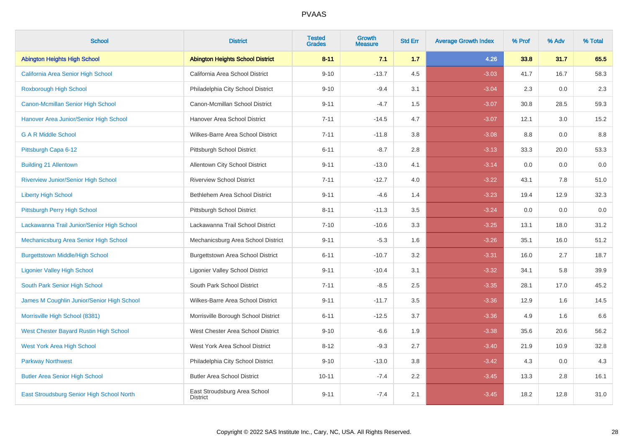| <b>School</b>                              | <b>District</b>                                 | <b>Tested</b><br><b>Grades</b> | Growth<br><b>Measure</b> | <b>Std Err</b> | <b>Average Growth Index</b> | % Prof | % Adv | % Total |
|--------------------------------------------|-------------------------------------------------|--------------------------------|--------------------------|----------------|-----------------------------|--------|-------|---------|
| <b>Abington Heights High School</b>        | <b>Abington Heights School District</b>         | $8 - 11$                       | 7.1                      | 1.7            | 4.26                        | 33.8   | 31.7  | 65.5    |
| California Area Senior High School         | California Area School District                 | $9 - 10$                       | $-13.7$                  | 4.5            | $-3.03$                     | 41.7   | 16.7  | 58.3    |
| Roxborough High School                     | Philadelphia City School District               | $9 - 10$                       | $-9.4$                   | 3.1            | $-3.04$                     | 2.3    | 0.0   | 2.3     |
| Canon-Mcmillan Senior High School          | Canon-Mcmillan School District                  | $9 - 11$                       | $-4.7$                   | 1.5            | $-3.07$                     | 30.8   | 28.5  | 59.3    |
| Hanover Area Junior/Senior High School     | Hanover Area School District                    | $7 - 11$                       | $-14.5$                  | 4.7            | $-3.07$                     | 12.1   | 3.0   | 15.2    |
| <b>G A R Middle School</b>                 | Wilkes-Barre Area School District               | $7 - 11$                       | $-11.8$                  | 3.8            | $-3.08$                     | 8.8    | 0.0   | 8.8     |
| Pittsburgh Capa 6-12                       | Pittsburgh School District                      | $6 - 11$                       | $-8.7$                   | 2.8            | $-3.13$                     | 33.3   | 20.0  | 53.3    |
| <b>Building 21 Allentown</b>               | Allentown City School District                  | $9 - 11$                       | $-13.0$                  | 4.1            | $-3.14$                     | 0.0    | 0.0   | 0.0     |
| Riverview Junior/Senior High School        | <b>Riverview School District</b>                | $7 - 11$                       | $-12.7$                  | 4.0            | $-3.22$                     | 43.1   | 7.8   | 51.0    |
| <b>Liberty High School</b>                 | Bethlehem Area School District                  | $9 - 11$                       | $-4.6$                   | 1.4            | $-3.23$                     | 19.4   | 12.9  | 32.3    |
| Pittsburgh Perry High School               | Pittsburgh School District                      | $8 - 11$                       | $-11.3$                  | 3.5            | $-3.24$                     | 0.0    | 0.0   | 0.0     |
| Lackawanna Trail Junior/Senior High School | Lackawanna Trail School District                | $7 - 10$                       | $-10.6$                  | 3.3            | $-3.25$                     | 13.1   | 18.0  | 31.2    |
| Mechanicsburg Area Senior High School      | Mechanicsburg Area School District              | $9 - 11$                       | $-5.3$                   | 1.6            | $-3.26$                     | 35.1   | 16.0  | 51.2    |
| <b>Burgettstown Middle/High School</b>     | <b>Burgettstown Area School District</b>        | $6 - 11$                       | $-10.7$                  | 3.2            | $-3.31$                     | 16.0   | 2.7   | 18.7    |
| <b>Ligonier Valley High School</b>         | <b>Ligonier Valley School District</b>          | $9 - 11$                       | $-10.4$                  | 3.1            | $-3.32$                     | 34.1   | 5.8   | 39.9    |
| South Park Senior High School              | South Park School District                      | $7 - 11$                       | $-8.5$                   | 2.5            | $-3.35$                     | 28.1   | 17.0  | 45.2    |
| James M Coughlin Junior/Senior High School | Wilkes-Barre Area School District               | $9 - 11$                       | $-11.7$                  | 3.5            | $-3.36$                     | 12.9   | 1.6   | 14.5    |
| Morrisville High School (8381)             | Morrisville Borough School District             | $6 - 11$                       | $-12.5$                  | 3.7            | $-3.36$                     | 4.9    | 1.6   | 6.6     |
| West Chester Bayard Rustin High School     | West Chester Area School District               | $9 - 10$                       | $-6.6$                   | 1.9            | $-3.38$                     | 35.6   | 20.6  | 56.2    |
| <b>West York Area High School</b>          | West York Area School District                  | $8 - 12$                       | $-9.3$                   | 2.7            | $-3.40$                     | 21.9   | 10.9  | 32.8    |
| <b>Parkway Northwest</b>                   | Philadelphia City School District               | $9 - 10$                       | $-13.0$                  | 3.8            | $-3.42$                     | 4.3    | 0.0   | 4.3     |
| <b>Butler Area Senior High School</b>      | <b>Butler Area School District</b>              | $10 - 11$                      | $-7.4$                   | 2.2            | $-3.45$                     | 13.3   | 2.8   | 16.1    |
| East Stroudsburg Senior High School North  | East Stroudsburg Area School<br><b>District</b> | $9 - 11$                       | $-7.4$                   | 2.1            | $-3.45$                     | 18.2   | 12.8  | 31.0    |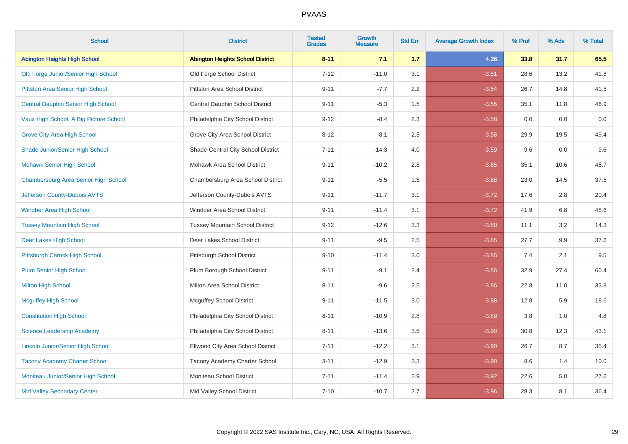| <b>School</b>                             | <b>District</b>                         | <b>Tested</b><br><b>Grades</b> | <b>Growth</b><br><b>Measure</b> | <b>Std Err</b> | <b>Average Growth Index</b> | % Prof | % Adv | % Total |
|-------------------------------------------|-----------------------------------------|--------------------------------|---------------------------------|----------------|-----------------------------|--------|-------|---------|
| <b>Abington Heights High School</b>       | <b>Abington Heights School District</b> | $8 - 11$                       | 7.1                             | 1.7            | 4.26                        | 33.8   | 31.7  | 65.5    |
| Old Forge Junior/Senior High School       | Old Forge School District               | $7 - 12$                       | $-11.0$                         | 3.1            | $-3.51$                     | 28.6   | 13.2  | 41.8    |
| Pittston Area Senior High School          | <b>Pittston Area School District</b>    | $9 - 11$                       | $-7.7$                          | 2.2            | $-3.54$                     | 26.7   | 14.8  | 41.5    |
| <b>Central Dauphin Senior High School</b> | Central Dauphin School District         | $9 - 11$                       | $-5.3$                          | 1.5            | $-3.55$                     | 35.1   | 11.8  | 46.9    |
| Vaux High School: A Big Picture School    | Philadelphia City School District       | $9 - 12$                       | $-8.4$                          | 2.3            | $-3.58$                     | 0.0    | 0.0   | 0.0     |
| <b>Grove City Area High School</b>        | Grove City Area School District         | $8 - 12$                       | $-8.1$                          | 2.3            | $-3.58$                     | 29.9   | 19.5  | 49.4    |
| Shade Junior/Senior High School           | Shade-Central City School District      | $7 - 11$                       | $-14.3$                         | 4.0            | $-3.59$                     | 9.6    | 0.0   | 9.6     |
| <b>Mohawk Senior High School</b>          | Mohawk Area School District             | $9 - 11$                       | $-10.2$                         | 2.8            | $-3.65$                     | 35.1   | 10.6  | 45.7    |
| Chambersburg Area Senior High School      | Chambersburg Area School District       | $9 - 11$                       | $-5.5$                          | 1.5            | $-3.68$                     | 23.0   | 14.5  | 37.5    |
| Jefferson County-Dubois AVTS              | Jefferson County-Dubois AVTS            | $9 - 11$                       | $-11.7$                         | 3.1            | $-3.72$                     | 17.6   | 2.8   | 20.4    |
| Windber Area High School                  | Windber Area School District            | $9 - 11$                       | $-11.4$                         | 3.1            | $-3.72$                     | 41.9   | 6.8   | 48.6    |
| <b>Tussey Mountain High School</b>        | <b>Tussey Mountain School District</b>  | $9 - 12$                       | $-12.6$                         | 3.3            | $-3.80$                     | 11.1   | 3.2   | 14.3    |
| Deer Lakes High School                    | Deer Lakes School District              | $9 - 11$                       | $-9.5$                          | 2.5            | $-3.85$                     | 27.7   | 9.9   | 37.6    |
| Pittsburgh Carrick High School            | Pittsburgh School District              | $9 - 10$                       | $-11.4$                         | 3.0            | $-3.85$                     | 7.4    | 2.1   | 9.5     |
| <b>Plum Senior High School</b>            | Plum Borough School District            | $9 - 11$                       | $-9.1$                          | 2.4            | $-3.86$                     | 32.9   | 27.4  | 60.4    |
| <b>Milton High School</b>                 | Milton Area School District             | $8 - 11$                       | $-9.6$                          | 2.5            | $-3.86$                     | 22.8   | 11.0  | 33.8    |
| <b>Mcguffey High School</b>               | <b>Mcguffey School District</b>         | $9 - 11$                       | $-11.5$                         | 3.0            | $-3.88$                     | 12.8   | 5.9   | 18.6    |
| <b>Constitution High School</b>           | Philadelphia City School District       | $8 - 11$                       | $-10.9$                         | 2.8            | $-3.89$                     | 3.8    | 1.0   | 4.8     |
| Science Leadership Academy                | Philadelphia City School District       | $8 - 11$                       | $-13.6$                         | 3.5            | $-3.90$                     | 30.8   | 12.3  | 43.1    |
| <b>Lincoln Junior/Senior High School</b>  | Ellwood City Area School District       | $7 - 11$                       | $-12.2$                         | 3.1            | $-3.90$                     | 26.7   | 8.7   | 35.4    |
| <b>Tacony Academy Charter School</b>      | Tacony Academy Charter School           | $3 - 11$                       | $-12.9$                         | 3.3            | $-3.90$                     | 8.6    | 1.4   | 10.0    |
| Moniteau Junior/Senior High School        | Moniteau School District                | $7 - 11$                       | $-11.4$                         | 2.9            | $-3.92$                     | 22.6   | 5.0   | 27.6    |
| <b>Mid Valley Secondary Center</b>        | Mid Valley School District              | $7 - 10$                       | $-10.7$                         | 2.7            | $-3.96$                     | 28.3   | 8.1   | 36.4    |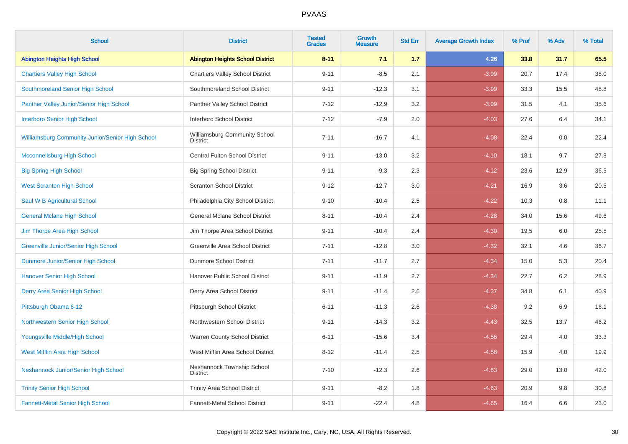| <b>School</b>                                    | <b>District</b>                                  | <b>Tested</b><br><b>Grades</b> | Growth<br><b>Measure</b> | <b>Std Err</b> | <b>Average Growth Index</b> | % Prof | % Adv | % Total |
|--------------------------------------------------|--------------------------------------------------|--------------------------------|--------------------------|----------------|-----------------------------|--------|-------|---------|
| <b>Abington Heights High School</b>              | <b>Abington Heights School District</b>          | $8 - 11$                       | 7.1                      | 1.7            | 4.26                        | 33.8   | 31.7  | 65.5    |
| <b>Chartiers Valley High School</b>              | <b>Chartiers Valley School District</b>          | $9 - 11$                       | $-8.5$                   | 2.1            | $-3.99$                     | 20.7   | 17.4  | 38.0    |
| Southmoreland Senior High School                 | Southmoreland School District                    | $9 - 11$                       | $-12.3$                  | 3.1            | $-3.99$                     | 33.3   | 15.5  | 48.8    |
| Panther Valley Junior/Senior High School         | Panther Valley School District                   | $7 - 12$                       | $-12.9$                  | 3.2            | $-3.99$                     | 31.5   | 4.1   | 35.6    |
| <b>Interboro Senior High School</b>              | Interboro School District                        | $7 - 12$                       | $-7.9$                   | 2.0            | $-4.03$                     | 27.6   | 6.4   | 34.1    |
| Williamsburg Community Junior/Senior High School | Williamsburg Community School<br><b>District</b> | $7 - 11$                       | $-16.7$                  | 4.1            | $-4.08$                     | 22.4   | 0.0   | 22.4    |
| <b>Mcconnellsburg High School</b>                | <b>Central Fulton School District</b>            | $9 - 11$                       | $-13.0$                  | 3.2            | $-4.10$                     | 18.1   | 9.7   | 27.8    |
| <b>Big Spring High School</b>                    | <b>Big Spring School District</b>                | $9 - 11$                       | $-9.3$                   | 2.3            | $-4.12$                     | 23.6   | 12.9  | 36.5    |
| <b>West Scranton High School</b>                 | <b>Scranton School District</b>                  | $9 - 12$                       | $-12.7$                  | 3.0            | $-4.21$                     | 16.9   | 3.6   | 20.5    |
| Saul W B Agricultural School                     | Philadelphia City School District                | $9 - 10$                       | $-10.4$                  | 2.5            | $-4.22$                     | 10.3   | 0.8   | 11.1    |
| <b>General Mclane High School</b>                | General Mclane School District                   | $8 - 11$                       | $-10.4$                  | 2.4            | $-4.28$                     | 34.0   | 15.6  | 49.6    |
| Jim Thorpe Area High School                      | Jim Thorpe Area School District                  | $9 - 11$                       | $-10.4$                  | 2.4            | $-4.30$                     | 19.5   | 6.0   | 25.5    |
| <b>Greenville Junior/Senior High School</b>      | Greenville Area School District                  | $7 - 11$                       | $-12.8$                  | 3.0            | $-4.32$                     | 32.1   | 4.6   | 36.7    |
| Dunmore Junior/Senior High School                | Dunmore School District                          | $7 - 11$                       | $-11.7$                  | 2.7            | $-4.34$                     | 15.0   | 5.3   | 20.4    |
| <b>Hanover Senior High School</b>                | Hanover Public School District                   | $9 - 11$                       | $-11.9$                  | 2.7            | $-4.34$                     | 22.7   | 6.2   | 28.9    |
| Derry Area Senior High School                    | Derry Area School District                       | $9 - 11$                       | $-11.4$                  | 2.6            | $-4.37$                     | 34.8   | 6.1   | 40.9    |
| Pittsburgh Obama 6-12                            | Pittsburgh School District                       | $6 - 11$                       | $-11.3$                  | 2.6            | $-4.38$                     | 9.2    | 6.9   | 16.1    |
| Northwestern Senior High School                  | Northwestern School District                     | $9 - 11$                       | $-14.3$                  | 3.2            | $-4.43$                     | 32.5   | 13.7  | 46.2    |
| Youngsville Middle/High School                   | Warren County School District                    | $6 - 11$                       | $-15.6$                  | 3.4            | $-4.56$                     | 29.4   | 4.0   | 33.3    |
| West Mifflin Area High School                    | West Mifflin Area School District                | $8 - 12$                       | $-11.4$                  | 2.5            | $-4.58$                     | 15.9   | 4.0   | 19.9    |
| Neshannock Junior/Senior High School             | Neshannock Township School<br><b>District</b>    | $7 - 10$                       | $-12.3$                  | 2.6            | $-4.63$                     | 29.0   | 13.0  | 42.0    |
| <b>Trinity Senior High School</b>                | <b>Trinity Area School District</b>              | $9 - 11$                       | $-8.2$                   | 1.8            | $-4.63$                     | 20.9   | 9.8   | 30.8    |
| <b>Fannett-Metal Senior High School</b>          | Fannett-Metal School District                    | $9 - 11$                       | $-22.4$                  | 4.8            | $-4.65$                     | 16.4   | 6.6   | 23.0    |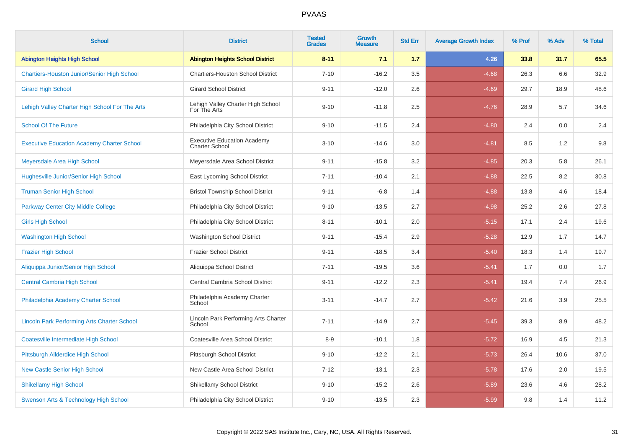| <b>School</b>                                      | <b>District</b>                                             | <b>Tested</b><br><b>Grades</b> | <b>Growth</b><br><b>Measure</b> | <b>Std Err</b> | <b>Average Growth Index</b> | % Prof | % Adv | % Total |
|----------------------------------------------------|-------------------------------------------------------------|--------------------------------|---------------------------------|----------------|-----------------------------|--------|-------|---------|
| <b>Abington Heights High School</b>                | <b>Abington Heights School District</b>                     | $8 - 11$                       | 7.1                             | 1.7            | 4.26                        | 33.8   | 31.7  | 65.5    |
| <b>Chartiers-Houston Junior/Senior High School</b> | <b>Chartiers-Houston School District</b>                    | $7 - 10$                       | $-16.2$                         | 3.5            | $-4.68$                     | 26.3   | 6.6   | 32.9    |
| <b>Girard High School</b>                          | <b>Girard School District</b>                               | $9 - 11$                       | $-12.0$                         | 2.6            | $-4.69$                     | 29.7   | 18.9  | 48.6    |
| Lehigh Valley Charter High School For The Arts     | Lehigh Valley Charter High School<br>For The Arts           | $9 - 10$                       | $-11.8$                         | 2.5            | $-4.76$                     | 28.9   | 5.7   | 34.6    |
| <b>School Of The Future</b>                        | Philadelphia City School District                           | $9 - 10$                       | $-11.5$                         | 2.4            | $-4.80$                     | 2.4    | 0.0   | 2.4     |
| <b>Executive Education Academy Charter School</b>  | <b>Executive Education Academy</b><br><b>Charter School</b> | $3 - 10$                       | $-14.6$                         | 3.0            | $-4.81$                     | 8.5    | 1.2   | $9.8\,$ |
| Meyersdale Area High School                        | Meyersdale Area School District                             | $9 - 11$                       | $-15.8$                         | 3.2            | $-4.85$                     | 20.3   | 5.8   | 26.1    |
| <b>Hughesville Junior/Senior High School</b>       | East Lycoming School District                               | $7 - 11$                       | $-10.4$                         | 2.1            | $-4.88$                     | 22.5   | 8.2   | 30.8    |
| <b>Truman Senior High School</b>                   | <b>Bristol Township School District</b>                     | $9 - 11$                       | $-6.8$                          | 1.4            | $-4.88$                     | 13.8   | 4.6   | 18.4    |
| <b>Parkway Center City Middle College</b>          | Philadelphia City School District                           | $9 - 10$                       | $-13.5$                         | 2.7            | $-4.98$                     | 25.2   | 2.6   | 27.8    |
| <b>Girls High School</b>                           | Philadelphia City School District                           | $8 - 11$                       | $-10.1$                         | 2.0            | $-5.15$                     | 17.1   | 2.4   | 19.6    |
| <b>Washington High School</b>                      | <b>Washington School District</b>                           | $9 - 11$                       | $-15.4$                         | 2.9            | $-5.28$                     | 12.9   | 1.7   | 14.7    |
| <b>Frazier High School</b>                         | <b>Frazier School District</b>                              | $9 - 11$                       | $-18.5$                         | 3.4            | $-5.40$                     | 18.3   | 1.4   | 19.7    |
| Aliquippa Junior/Senior High School                | Aliquippa School District                                   | $7 - 11$                       | $-19.5$                         | 3.6            | $-5.41$                     | 1.7    | 0.0   | 1.7     |
| <b>Central Cambria High School</b>                 | Central Cambria School District                             | $9 - 11$                       | $-12.2$                         | 2.3            | $-5.41$                     | 19.4   | 7.4   | 26.9    |
| Philadelphia Academy Charter School                | Philadelphia Academy Charter<br>School                      | $3 - 11$                       | $-14.7$                         | 2.7            | $-5.42$                     | 21.6   | 3.9   | 25.5    |
| <b>Lincoln Park Performing Arts Charter School</b> | Lincoln Park Performing Arts Charter<br>School              | $7 - 11$                       | $-14.9$                         | 2.7            | $-5.45$                     | 39.3   | 8.9   | 48.2    |
| <b>Coatesville Intermediate High School</b>        | Coatesville Area School District                            | $8-9$                          | $-10.1$                         | 1.8            | $-5.72$                     | 16.9   | 4.5   | 21.3    |
| Pittsburgh Allderdice High School                  | Pittsburgh School District                                  | $9 - 10$                       | $-12.2$                         | 2.1            | $-5.73$                     | 26.4   | 10.6  | 37.0    |
| <b>New Castle Senior High School</b>               | New Castle Area School District                             | $7 - 12$                       | $-13.1$                         | 2.3            | $-5.78$                     | 17.6   | 2.0   | 19.5    |
| <b>Shikellamy High School</b>                      | <b>Shikellamy School District</b>                           | $9 - 10$                       | $-15.2$                         | 2.6            | $-5.89$                     | 23.6   | 4.6   | 28.2    |
| Swenson Arts & Technology High School              | Philadelphia City School District                           | $9 - 10$                       | $-13.5$                         | 2.3            | $-5.99$                     | 9.8    | 1.4   | 11.2    |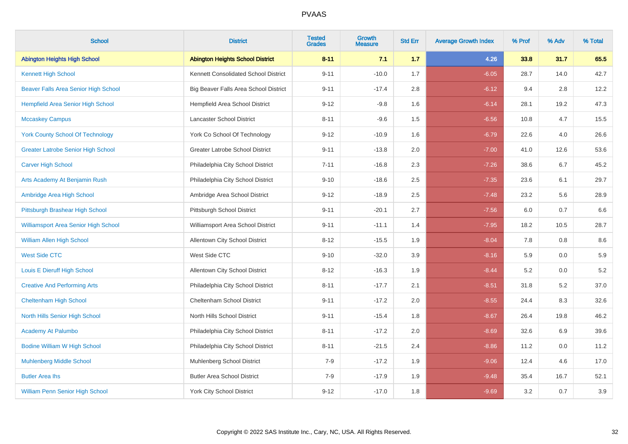| <b>School</b>                             | <b>District</b>                         | <b>Tested</b><br><b>Grades</b> | Growth<br><b>Measure</b> | <b>Std Err</b> | <b>Average Growth Index</b> | % Prof | % Adv | % Total |
|-------------------------------------------|-----------------------------------------|--------------------------------|--------------------------|----------------|-----------------------------|--------|-------|---------|
| <b>Abington Heights High School</b>       | <b>Abington Heights School District</b> | $8 - 11$                       | 7.1                      | 1.7            | 4.26                        | 33.8   | 31.7  | 65.5    |
| <b>Kennett High School</b>                | Kennett Consolidated School District    | $9 - 11$                       | $-10.0$                  | 1.7            | $-6.05$                     | 28.7   | 14.0  | 42.7    |
| Beaver Falls Area Senior High School      | Big Beaver Falls Area School District   | $9 - 11$                       | $-17.4$                  | 2.8            | $-6.12$                     | 9.4    | 2.8   | 12.2    |
| Hempfield Area Senior High School         | Hempfield Area School District          | $9 - 12$                       | $-9.8$                   | 1.6            | $-6.14$                     | 28.1   | 19.2  | 47.3    |
| <b>Mccaskey Campus</b>                    | Lancaster School District               | $8 - 11$                       | $-9.6$                   | 1.5            | $-6.56$                     | 10.8   | 4.7   | 15.5    |
| <b>York County School Of Technology</b>   | York Co School Of Technology            | $9 - 12$                       | $-10.9$                  | 1.6            | $-6.79$                     | 22.6   | 4.0   | 26.6    |
| <b>Greater Latrobe Senior High School</b> | <b>Greater Latrobe School District</b>  | $9 - 11$                       | $-13.8$                  | 2.0            | $-7.00$                     | 41.0   | 12.6  | 53.6    |
| <b>Carver High School</b>                 | Philadelphia City School District       | $7 - 11$                       | $-16.8$                  | 2.3            | $-7.26$                     | 38.6   | 6.7   | 45.2    |
| Arts Academy At Benjamin Rush             | Philadelphia City School District       | $9 - 10$                       | $-18.6$                  | 2.5            | $-7.35$                     | 23.6   | 6.1   | 29.7    |
| Ambridge Area High School                 | Ambridge Area School District           | $9 - 12$                       | $-18.9$                  | $2.5\,$        | $-7.48$                     | 23.2   | 5.6   | 28.9    |
| Pittsburgh Brashear High School           | Pittsburgh School District              | $9 - 11$                       | $-20.1$                  | 2.7            | $-7.56$                     | 6.0    | 0.7   | 6.6     |
| Williamsport Area Senior High School      | Williamsport Area School District       | $9 - 11$                       | $-11.1$                  | 1.4            | $-7.95$                     | 18.2   | 10.5  | 28.7    |
| <b>William Allen High School</b>          | Allentown City School District          | $8 - 12$                       | $-15.5$                  | 1.9            | $-8.04$                     | 7.8    | 0.8   | 8.6     |
| <b>West Side CTC</b>                      | West Side CTC                           | $9 - 10$                       | $-32.0$                  | 3.9            | $-8.16$                     | 5.9    | 0.0   | 5.9     |
| Louis E Dieruff High School               | Allentown City School District          | $8 - 12$                       | $-16.3$                  | 1.9            | $-8.44$                     | 5.2    | 0.0   | $5.2\,$ |
| <b>Creative And Performing Arts</b>       | Philadelphia City School District       | $8 - 11$                       | $-17.7$                  | 2.1            | $-8.51$                     | 31.8   | 5.2   | 37.0    |
| <b>Cheltenham High School</b>             | Cheltenham School District              | $9 - 11$                       | $-17.2$                  | 2.0            | $-8.55$                     | 24.4   | 8.3   | 32.6    |
| North Hills Senior High School            | North Hills School District             | $9 - 11$                       | $-15.4$                  | 1.8            | $-8.67$                     | 26.4   | 19.8  | 46.2    |
| <b>Academy At Palumbo</b>                 | Philadelphia City School District       | $8 - 11$                       | $-17.2$                  | 2.0            | $-8.69$                     | 32.6   | 6.9   | 39.6    |
| <b>Bodine William W High School</b>       | Philadelphia City School District       | $8 - 11$                       | $-21.5$                  | 2.4            | $-8.86$                     | 11.2   | 0.0   | 11.2    |
| <b>Muhlenberg Middle School</b>           | <b>Muhlenberg School District</b>       | $7-9$                          | $-17.2$                  | 1.9            | $-9.06$                     | 12.4   | 4.6   | 17.0    |
| <b>Butler Area lhs</b>                    | <b>Butler Area School District</b>      | $7 - 9$                        | $-17.9$                  | 1.9            | $-9.48$                     | 35.4   | 16.7  | 52.1    |
| <b>William Penn Senior High School</b>    | <b>York City School District</b>        | $9 - 12$                       | $-17.0$                  | 1.8            | $-9.69$                     | 3.2    | 0.7   | 3.9     |